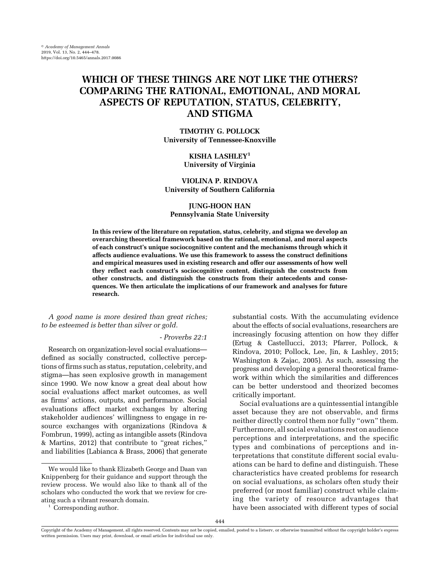# WHICH OF THESE THINGS ARE NOT LIKE THE OTHERS? COMPARING THE RATIONAL, EMOTIONAL, AND MORAL ASPECTS OF REPUTATION, STATUS, CELEBRITY, AND STIGMA

TIMOTHY G. POLLOCK University of Tennessee-Knoxville

> KISHA LASHLEY<sup>1</sup> University of Virginia

## VIOLINA P. RINDOVA University of Southern California

## JUNG-HOON HAN Pennsylvania State University

In this review of the literature on reputation, status, celebrity, and stigma we develop an overarching theoretical framework based on the rational, emotional, and moral aspects of each construct's unique sociocognitive content and the mechanisms through which it affects audience evaluations. We use this framework to assess the construct definitions and empirical measures used in existing research and offer our assessments of how well they reflect each construct's sociocognitive content, distinguish the constructs from other constructs, and distinguish the constructs from their antecedents and consequences. We then articulate the implications of our framework and analyses for future research.

A good name is more desired than great riches; to be esteemed is better than silver or gold.

## - Proverbs 22:1

Research on organization-level social evaluations defined as socially constructed, collective perceptions of firms such as status, reputation, celebrity, and stigma—has seen explosive growth in management since 1990. We now know a great deal about how social evaluations affect market outcomes, as well as firms' actions, outputs, and performance. Social evaluations affect market exchanges by altering stakeholder audiences' willingness to engage in resource exchanges with organizations (Rindova & Fombrun, 1999), acting as intangible assets (Rindova & Martins, 2012) that contribute to "great riches," and liabilities (Labianca & Brass, 2006) that generate

substantial costs. With the accumulating evidence about the effects of social evaluations, researchers are increasingly focusing attention on how they differ (Ertug & Castellucci, 2013; Pfarrer, Pollock, & Rindova, 2010; Pollock, Lee, Jin, & Lashley, 2015; Washington & Zajac, 2005). As such, assessing the progress and developing a general theoretical framework within which the similarities and differences can be better understood and theorized becomes critically important.

Social evaluations are a quintessential intangible asset because they are not observable, and firms neither directly control them nor fully "own" them. Furthermore, all social evaluations rest on audience perceptions and interpretations, and the specific types and combinations of perceptions and interpretations that constitute different social evaluations can be hard to define and distinguish. These characteristics have created problems for research on social evaluations, as scholars often study their preferred (or most familiar) construct while claiming the variety of resource advantages that have been associated with different types of social

We would like to thank Elizabeth George and Daan van Knippenberg for their guidance and support through the review process. We would also like to thank all of the scholars who conducted the work that we review for creating such a vibrant research domain.

<sup>&</sup>lt;sup>1</sup> Corresponding author.

Copyright of the Academy of Management, all rights reserved. Contents may not be copied, emailed, posted to a listserv, or otherwise transmitted without the copyright holder's express written permission. Users may print, download, or email articles for individual use only.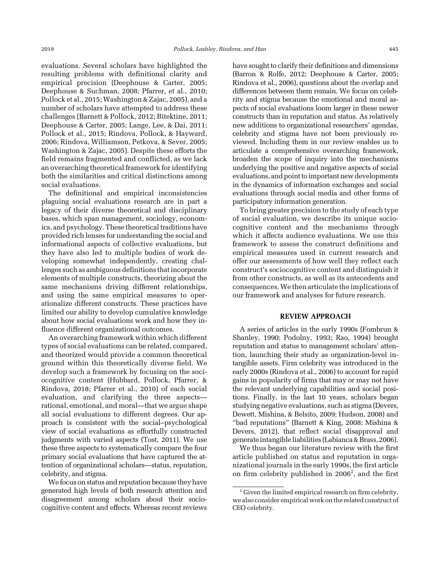evaluations. Several scholars have highlighted the resulting problems with definitional clarity and empirical precision (Deephouse & Carter, 2005; Deephouse & Suchman, 2008; Pfarrer, et al., 2010; Pollock et al., 2015; Washington & Zajac, 2005), and a number of scholars have attempted to address these challenges (Barnett & Pollock, 2012; Bitektine, 2011; Deephouse & Carter, 2005; Lange, Lee, & Dai, 2011; Pollock et al., 2015; Rindova, Pollock, & Hayward, 2006; Rindova, Williamson, Petkova, & Sever, 2005; Washington & Zajac, 2005). Despite these efforts the field remains fragmented and conflicted, as we lack an overarching theoretical framework for identifying both the similarities and critical distinctions among social evaluations.

The definitional and empirical inconsistencies plaguing social evaluations research are in part a legacy of their diverse theoretical and disciplinary bases, which span management, sociology, economics, and psychology. These theoretical traditions have provided rich lenses for understanding the social and informational aspects of collective evaluations, but they have also led to multiple bodies of work developing somewhat independently, creating challenges such as ambiguous definitions that incorporate elements of multiple constructs, theorizing about the same mechanisms driving different relationships, and using the same empirical measures to operationalize different constructs. These practices have limited our ability to develop cumulative knowledge about how social evaluations work and how they influence different organizational outcomes.

An overarching framework within which different types of social evaluations can be related, compared, and theorized would provide a common theoretical ground within this theoretically diverse field. We develop such a framework by focusing on the sociocognitive content (Hubbard, Pollock, Pfarrer, & Rindova, 2018; Pfarrer et al., 2010) of each social evaluation, and clarifying the three aspects rational, emotional, and moral—that we argue shape all social evaluations to different degrees. Our approach is consistent with the social–psychological view of social evaluations as effortfully constructed judgments with varied aspects (Tost, 2011). We use these three aspects to systematically compare the four primary social evaluations that have captured the attention of organizational scholars—status, reputation, celebrity, and stigma.

We focus on status and reputation because they have generated high levels of both research attention and disagreement among scholars about their sociocognitive content and effects. Whereas recent reviews

have sought to clarify their definitions and dimensions (Barron & Rolfe, 2012; Deephouse & Carter, 2005; Rindova et al., 2006), questions about the overlap and differences between them remain. We focus on celebrity and stigma because the emotional and moral aspects of social evaluations loom larger in these newer constructs than in reputation and status. As relatively new additions to organizational researchers' agendas, celebrity and stigma have not been previously reviewed. Including them in our review enables us to articulate a comprehensive overarching framework, broaden the scope of inquiry into the mechanisms underlying the positive and negative aspects of social evaluations, and point to important new developments in the dynamics of information exchanges and social evaluations through social media and other forms of participatory information generation.

To bring greater precision to the study of each type of social evaluation, we describe its unique sociocognitive content and the mechanisms through which it affects audience evaluations. We use this framework to assess the construct definitions and empirical measures used in current research and offer our assessments of how well they reflect each construct's sociocognitive content and distinguish it from other constructs, as well as its antecedents and consequences.We then articulate the implications of our framework and analyses for future research.

### REVIEW APPROACH

A series of articles in the early 1990s (Fombrun & Shanley, 1990; Podolny, 1993; Rao, 1994) brought reputation and status to management scholars' attention, launching their study as organization-level intangible assets. Firm celebrity was introduced in the early 2000s (Rindova et al., 2006) to account for rapid gains in popularity of firms that may or may not have the relevant underlying capabilities and social positions. Finally, in the last 10 years, scholars began studying negative evaluations, such as stigma (Devers, Dewett, Mishina, & Belsito, 2009; Hudson, 2008) and "bad reputations" (Barnett & King, 2008; Mishina & Devers, 2012), that reflect social disapproval and generate intangible liabilities (Labianca & Brass, 2006).

We thus began our literature review with the first article published on status and reputation in organizational journals in the early 1990s, the first article on firm celebrity published in  $2006^2$ , and the first

<sup>&</sup>lt;sup>2</sup> Given the limited empirical research on firm celebrity, we also consider empirical work on the related construct of CEO celebrity.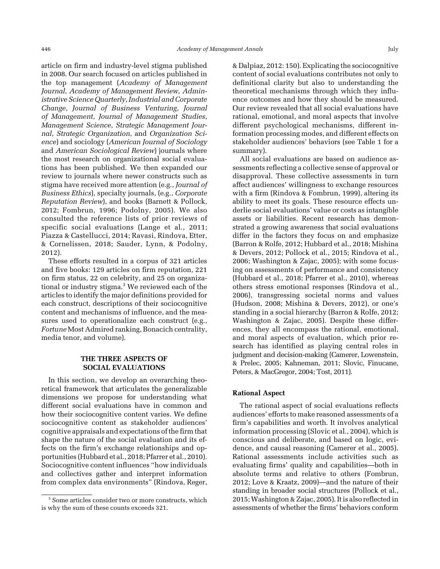article on firm and industry-level stigma published in 2008. Our search focused on articles published in the top management (Academy of Management Journal, Academy of Management Review, Administrative Science Quarterly, Industrial and Corporate Change, Journal of Business Venturing, Journal of Management, Journal of Management Studies, Management Science, Strategic Management Journal, Strategic Organization, and Organization Science) and sociology (American Journal of Sociology and American Sociological Review) journals where the most research on organizational social evaluations has been published. We then expanded our review to journals where newer constructs such as stigma have received more attention (e.g., Journal of Business Ethics), specialty journals, (e.g., Corporate Reputation Review), and books (Barnett & Pollock, 2012; Fombrun, 1996; Podolny, 2005). We also consulted the reference lists of prior reviews of specific social evaluations (Lange et al., 2011; Piazza & Castellucci, 2014; Ravasi, Rindova, Etter, & Cornelissen, 2018; Sauder, Lynn, & Podolny, 2012).

These efforts resulted in a corpus of 321 articles and five books: 129 articles on firm reputation, 221 on firm status, 22 on celebrity, and 25 on organizational or industry stigma.<sup>3</sup> We reviewed each of the articles to identify the major definitions provided for each construct, descriptions of their sociocognitive content and mechanisms of influence, and the measures used to operationalize each construct (e.g., Fortune Most Admired ranking, Bonacich centrality, media tenor, and volume).

## THE THREE ASPECTS OF SOCIAL EVALUATIONS

In this section, we develop an overarching theoretical framework that articulates the generalizable dimensions we propose for understanding what different social evaluations have in common and how their sociocognitive content varies. We define sociocognitive content as stakeholder audiences' cognitive appraisals and expectations of the firm that shape the nature of the social evaluation and its effects on the firm's exchange relationships and opportunities (Hubbard et al., 2018; Pfarrer et al., 2010). Sociocognitive content influences "how individuals and collectives gather and interpret information from complex data environments" (Rindova, Reger,

& Dalpiaz, 2012: 150). Explicating the sociocognitive content of social evaluations contributes not only to definitional clarity but also to understanding the theoretical mechanisms through which they influence outcomes and how they should be measured. Our review revealed that all social evaluations have rational, emotional, and moral aspects that involve different psychological mechanisms, different information processing modes, and different effects on stakeholder audiences' behaviors (see Table 1 for a summary).

All social evaluations are based on audience assessments reflecting a collective sense of approval or disapproval. These collective assessments in turn affect audiences' willingness to exchange resources with a firm (Rindova & Fombrun, 1999), altering its ability to meet its goals. These resource effects underlie social evaluations' value or costs as intangible assets or liabilities. Recent research has demonstrated a growing awareness that social evaluations differ in the factors they focus on and emphasize (Barron & Rolfe, 2012; Hubbard et al., 2018; Mishina & Devers, 2012; Pollock et al., 2015; Rindova et al., 2006; Washington & Zajac, 2005); with some focusing on assessments of performance and consistency (Hubbard et al., 2018; Pfarrer et al., 2010), whereas others stress emotional responses (Rindova et al., 2006), transgressing societal norms and values (Hudson, 2008; Mishina & Devers, 2012), or one's standing in a social hierarchy (Barron & Rolfe, 2012; Washington & Zajac, 2005). Despite these differences, they all encompass the rational, emotional, and moral aspects of evaluation, which prior research has identified as playing central roles in judgment and decision-making (Camerer, Lowenstein, & Prelec, 2005; Kahneman, 2011; Slovic, Finucane, Peters, & MacGregor, 2004; Tost, 2011).

#### Rational Aspect

The rational aspect of social evaluations reflects audiences' efforts to make reasoned assessments of a firm's capabilities and worth. It involves analytical information processing (Slovic et al., 2004), which is conscious and deliberate, and based on logic, evidence, and causal reasoning (Camerer et al., 2005). Rational assessments include activities such as evaluating firms' quality and capabilities—both in absolute terms and relative to others (Fombrun, 2012; Love & Kraatz, 2009)—and the nature of their standing in broader social structures (Pollock et al., 2015;Washington & Zajac, 2005). It is also reflected in assessments of whether the firms' behaviors conform

<sup>3</sup> Some articles consider two or more constructs, which is why the sum of these counts exceeds 321.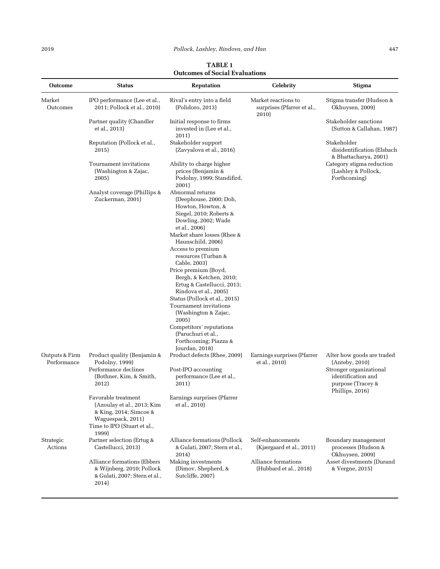| TABLE 1                               |
|---------------------------------------|
| <b>Outcomes of Social Evaluations</b> |

| <b>Outcome</b>                | <b>Status</b>                                                                                                                            | <b>Reputation</b>                                                                                                                                                                                                                                                                                                                                                                                                                                                                                                                   | <b>Celebrity</b>                                           | <b>Stigma</b>                                                                                                      |
|-------------------------------|------------------------------------------------------------------------------------------------------------------------------------------|-------------------------------------------------------------------------------------------------------------------------------------------------------------------------------------------------------------------------------------------------------------------------------------------------------------------------------------------------------------------------------------------------------------------------------------------------------------------------------------------------------------------------------------|------------------------------------------------------------|--------------------------------------------------------------------------------------------------------------------|
| Market<br>Outcomes            | IPO performance (Lee et al.,<br>2011; Pollock et al., 2010)                                                                              | Rival's entry into a field<br>(Polidoro, 2013)                                                                                                                                                                                                                                                                                                                                                                                                                                                                                      | Market reactions to<br>surprises (Pfarrer et al.,<br>2010) | Stigma transfer (Hudson &<br>Okhuysen, 2009)                                                                       |
|                               | Partner quality (Chandler<br>et al., 2013)                                                                                               | Initial response to firms<br>invested in (Lee et al.,<br>2011)                                                                                                                                                                                                                                                                                                                                                                                                                                                                      |                                                            | Stakeholder sanctions<br>(Sutton & Callahan, 1987)                                                                 |
|                               | Reputation (Pollock et al.,<br>2015)                                                                                                     | Stakeholder support<br>(Zavyalova et al., 2016)                                                                                                                                                                                                                                                                                                                                                                                                                                                                                     |                                                            | Stakeholder<br>disidentification (Elsbach<br>& Bhattacharya, 2001)                                                 |
|                               | Tournament invitations<br>(Washington & Zajac,<br>2005)                                                                                  | Ability to charge higher<br>prices (Benjamin &<br>Podolny, 1999; Standifird,<br>2001)                                                                                                                                                                                                                                                                                                                                                                                                                                               |                                                            | Category stigma reduction<br>(Lashley & Pollock,<br>Forthcoming)                                                   |
|                               | Analyst coverage (Phillips &<br>Zuckerman, 2001)                                                                                         | Abnormal returns<br>(Deephouse, 2000; Doh,<br>Howton, Howton, &<br>Siegel, 2010; Roberts &<br>Dowling, 2002; Wade<br>et al., 2006)<br>Market share losses (Rhee &<br>Haunschild, 2006)<br>Access to premium<br>resources (Turban &<br>Cable, 2003)<br>Price premium (Boyd,<br>Bergh, & Ketchen, 2010;<br>Ertug & Castellucci, 2013;<br>Rindova et al., 2005)<br>Status (Pollock et al., 2015)<br>Tournament invitations<br>(Washington & Zajac,<br>2005)<br>Competitors' reputations<br>(Paruchuri et al.,<br>Forthcoming; Piazza & |                                                            |                                                                                                                    |
| Outputs & Firm<br>Performance | Product quality (Benjamin &<br>Podolny, 1999)<br>Performance declines<br>(Bothner, Kim, & Smith,<br>2012)                                | Jourdan, 2018)<br>Product defects (Rhee, 2009)<br>Post-IPO accounting<br>performance (Lee et al.,<br>2011)                                                                                                                                                                                                                                                                                                                                                                                                                          | Earnings surprises (Pfarrer<br>et al., 2010)               | Alter how goods are traded<br>(Anteby, 2010)<br>Stronger organizational<br>identification and<br>purpose (Tracey & |
|                               | Favorable treatment<br>(Azoulay et al., 2013; Kim<br>& King, 2014; Simcoe &<br>Waguespack, 2011)<br>Time to IPO (Stuart et al.,<br>1999) | Earnings surprises (Pfarrer<br>et al., 2010)                                                                                                                                                                                                                                                                                                                                                                                                                                                                                        |                                                            | Phillips, 2016)                                                                                                    |
| Strategic<br>Actions          | Partner selection (Ertug &<br>Castellucci, 2013)                                                                                         | Alliance formations (Pollock<br>& Gulati, 2007; Stern et al.,<br>2014)                                                                                                                                                                                                                                                                                                                                                                                                                                                              | Self-enhancements<br>(Kjærgaard et al., 2011)              | Boundary management<br>processes (Hudson &<br>Okhuysen, 2009)                                                      |
|                               | Alliance formations (Ebbers<br>& Wijnberg, 2010; Pollock<br>& Gulati, 2007; Stern et al.,<br>2014)                                       | Making investments<br>(Dimov, Shepherd, &<br>Sutcliffe, 2007)                                                                                                                                                                                                                                                                                                                                                                                                                                                                       | Alliance formations<br>(Hubbard et al., 2018)              | Asset divestments (Durand<br>& Vergne, 2015)                                                                       |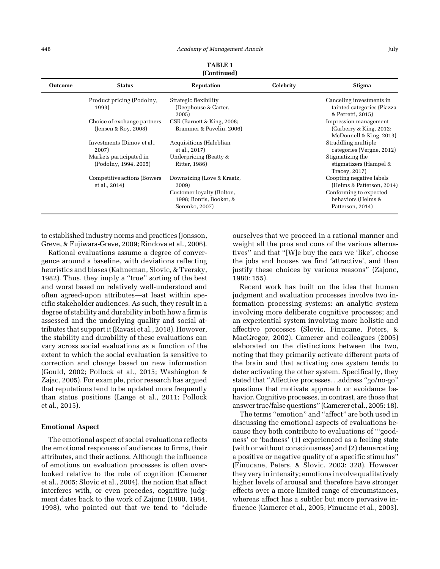| <b>Outcome</b> | <b>Status</b>                                       | <b>Reputation</b>                                                                                             | <b>Celebrity</b> | <b>Stigma</b>                                                                                                             |
|----------------|-----------------------------------------------------|---------------------------------------------------------------------------------------------------------------|------------------|---------------------------------------------------------------------------------------------------------------------------|
|                | Product pricing (Podolny,<br>1993)                  | Strategic flexibility<br>(Deephouse & Carter,<br>2005)                                                        |                  | Canceling investments in<br>tainted categories (Piazza<br>& Perretti, 2015)                                               |
|                | Choice of exchange partners<br>(Jensen & Roy, 2008) | CSR (Barnett & King, 2008;<br>Brammer & Pavelin, 2006)                                                        |                  | Impression management<br>(Carberry & King, 2012;<br>McDonnell & King, 2013)                                               |
|                | Investments (Dimov et al.,<br>2007)                 | Acquisitions (Haleblian<br>et al., 2017)                                                                      |                  | Straddling multiple<br>categories (Vergne, 2012)                                                                          |
|                | Markets participated in<br>(Podolny, 1994, 2005)    | Underpricing (Beatty &<br>Ritter, 1986)                                                                       |                  | Stigmatizing the<br>stigmatizers (Hampel &<br>Tracey, 2017)                                                               |
|                | Competitive actions (Bowers<br>et al., 2014)        | Downsizing (Love & Kraatz,<br>2009)<br>Customer loyalty (Bolton,<br>1998; Bontis, Booker, &<br>Serenko, 2007) |                  | Coopting negative labels<br>(Helms & Patterson, 2014)<br>Conforming to expected<br>behaviors (Helms &<br>Patterson, 2014) |

TABLE 1 (Continued)

to established industry norms and practices (Jonsson, Greve, & Fujiwara-Greve, 2009; Rindova et al., 2006).

Rational evaluations assume a degree of convergence around a baseline, with deviations reflecting heuristics and biases (Kahneman, Slovic, & Tversky, 1982). Thus, they imply a "true" sorting of the best and worst based on relatively well-understood and often agreed-upon attributes—at least within specific stakeholder audiences. As such, they result in a degree of stability and durability in both how a firm is assessed and the underlying quality and social attributes that support it (Ravasi et al., 2018). However, the stability and durability of these evaluations can vary across social evaluations as a function of the extent to which the social evaluation is sensitive to correction and change based on new information (Gould, 2002; Pollock et al., 2015; Washington & Zajac, 2005). For example, prior research has argued that reputations tend to be updated more frequently than status positions (Lange et al., 2011; Pollock et al., 2015).

#### Emotional Aspect

The emotional aspect of social evaluations reflects the emotional responses of audiences to firms, their attributes, and their actions. Although the influence of emotions on evaluation processes is often overlooked relative to the role of cognition (Camerer et al., 2005; Slovic et al., 2004), the notion that affect interferes with, or even precedes, cognitive judgment dates back to the work of Zajonc (1980, 1984, 1998), who pointed out that we tend to "delude ourselves that we proceed in a rational manner and weight all the pros and cons of the various alternatives" and that "[W]e buy the cars we 'like', choose the jobs and houses we find 'attractive', and then justify these choices by various reasons" (Zajonc, 1980: 155).

Recent work has built on the idea that human judgment and evaluation processes involve two information processing systems: an analytic system involving more deliberate cognitive processes; and an experiential system involving more holistic and affective processes (Slovic, Finucane, Peters, & MacGregor, 2002). Camerer and colleagues (2005) elaborated on the distinctions between the two, noting that they primarily activate different parts of the brain and that activating one system tends to deter activating the other system. Specifically, they stated that "Affective processes...address "go/no-go" questions that motivate approach or avoidance behavior. Cognitive processes, in contrast, are those that answer true/false questions" (Camerer et al., 2005: 18).

The terms "emotion" and "affect" are both used in discussing the emotional aspects of evaluations because they both contribute to evaluations of "'goodness' or 'badness' (1) experienced as a feeling state (with or without consciousness) and (2) demarcating a positive or negative quality of a specific stimulus" (Finucane, Peters, & Slovic, 2003: 328). However they vary in intensity; emotions involve qualitatively higher levels of arousal and therefore have stronger effects over a more limited range of circumstances, whereas affect has a subtler but more pervasive influence (Camerer et al., 2005; Finucane et al., 2003).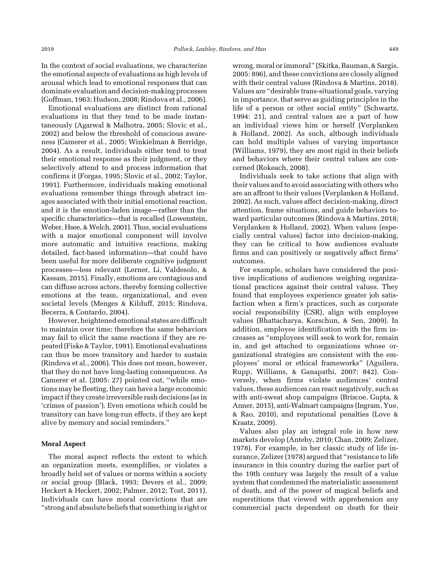In the context of social evaluations, we characterize the emotional aspects of evaluations as high levels of arousal which lead to emotional responses that can dominate evaluation and decision-making processes (Goffman, 1963; Hudson, 2008; Rindova et al., 2006).

Emotional evaluations are distinct from rational evaluations in that they tend to be made instantaneously (Agarwal & Malhotra, 2005; Slovic et al., 2002) and below the threshold of conscious awareness (Camerer et al., 2005; Winkielman & Berridge, 2004). As a result, individuals either tend to treat their emotional response as their judgment, or they selectively attend to and process information that confirms it (Forgas, 1995; Slovic et al., 2002; Taylor, 1991). Furthermore, individuals making emotional evaluations remember things through abstract images associated with their initial emotional reaction, and it is the emotion-laden image—rather than the specific characteristics—that is recalled (Lowenstein, Weber, Hsee, & Welch, 2001). Thus, social evaluations with a major emotional component will involve more automatic and intuitive reactions, making detailed, fact-based information—that could have been useful for more deliberate cognitive judgment processes—less relevant (Lerner, Li, Valdesolo, & Kassam, 2015). Finally, emotions are contagious and can diffuse across actors, thereby forming collective emotions at the team, organizational, and even societal levels (Menges & Kilduff, 2015; Rindova, Becerra, & Contardo, 2004).

However, heightened emotional states are difficult to maintain over time; therefore the same behaviors may fail to elicit the same reactions if they are repeated (Fiske & Taylor, 1991). Emotional evaluations can thus be more transitory and harder to sustain (Rindova et al., 2006). This does not mean, however, that they do not have long-lasting consequences. As Camerer et al. (2005: 27) pointed out, "while emotions may be fleeting, they can have a large economic impact if they create irreversible rash decisions (as in 'crimes of passion'). Even emotions which could be transitory can have long-run effects, if they are kept alive by memory and social reminders."

#### Moral Aspect

The moral aspect reflects the extent to which an organization meets, exemplifies, or violates a broadly held set of values or norms within a society or social group (Black, 1993; Devers et al., 2009; Heckert & Heckert, 2002; Palmer, 2012; Tost, 2011). Individuals can have moral convictions that are "strong and absolute beliefs that something is right or

wrong, moral or immoral" (Skitka, Bauman, & Sargis, 2005: 896), and these convictions are closely aligned with their central values (Rindova & Martins, 2018). Values are "desirable trans-situational goals, varying in importance, that serve as guiding principles in the life of a person or other social entity" (Schwartz, 1994: 21), and central values are a part of how an individual views him or herself (Verplanken & Holland, 2002). As such, although individuals can hold multiple values of varying importance (Williams, 1979), they are most rigid in their beliefs and behaviors where their central values are concerned (Rokeach, 2008).

Individuals seek to take actions that align with their values and to avoid associating with others who are an affront to their values (Verplanken & Holland, 2002). As such, values affect decision-making, direct attention, frame situations, and guide behaviors toward particular outcomes (Rindova & Martins, 2018; Verplanken & Holland, 2002). When values (especially central values) factor into decision-making, they can be critical to how audiences evaluate firms and can positively or negatively affect firms' outcomes.

For example, scholars have considered the positive implications of audiences weighing organizational practices against their central values. They found that employees experience greater job satisfaction when a firm's practices, such as corporate social responsibility (CSR), align with employee values (Bhattacharya, Korschun, & Sen, 2009). In addition, employee identification with the firm increases as "employees will seek to work for, remain in, and get attached to organizations whose organizational strategies are consistent with the employees' moral or ethical frameworks" (Aguilera, Rupp, Williams, & Ganapathi, 2007: 842). Conversely, when firms violate audiences' central values, these audiences can react negatively, such as with anti-sweat shop campaigns (Briscoe, Gupta, & Anner, 2015), anti-Walmart campaigns (Ingram, Yue, & Rao, 2010), and reputational penalties (Love & Kraatz, 2009).

Values also play an integral role in how new markets develop (Anteby, 2010; Chan, 2009; Zelizer, 1978). For example, in her classic study of life insurance, Zelizer (1978) argued that "resistance to life insurance in this country during the earlier part of the 19th century was largely the result of a value system that condemned the materialistic assessment of death, and of the power of magical beliefs and superstitions that viewed with apprehension any commercial pacts dependent on death for their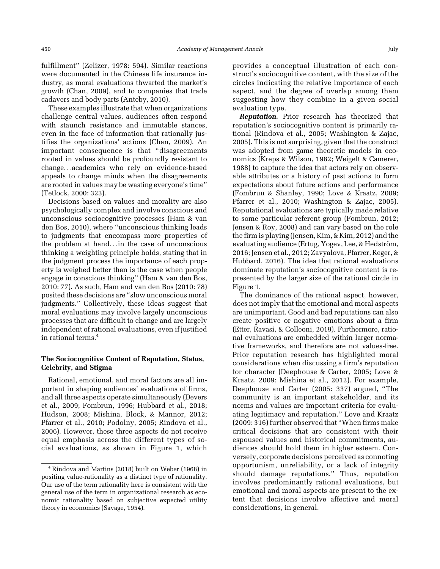fulfillment" (Zelizer, 1978: 594). Similar reactions were documented in the Chinese life insurance industry, as moral evaluations thwarted the market's growth (Chan, 2009), and to companies that trade cadavers and body parts (Anteby, 2010).

These examples illustrate that when organizations challenge central values, audiences often respond with staunch resistance and immutable stances, even in the face of information that rationally justifies the organizations' actions (Chan, 2009). An important consequence is that "disagreements rooted in values should be profoundly resistant to change...academics who rely on evidence-based appeals to change minds when the disagreements are rooted in values may be wasting everyone's time" (Tetlock, 2000: 323).

Decisions based on values and morality are also psychologically complex and involve conscious and unconscious sociocognitive processes (Ham & van den Bos, 2010), where "unconscious thinking leads to judgments that encompass more properties of the problem at hand...in the case of unconscious thinking a weighting principle holds, stating that in the judgment process the importance of each property is weighed better than is the case when people engage in conscious thinking" (Ham & van den Bos, 2010: 77). As such, Ham and van den Bos (2010: 78) posited these decisions are "slow unconscious moral judgments." Collectively, these ideas suggest that moral evaluations may involve largely unconscious processes that are difficult to change and are largely independent of rational evaluations, even if justified in rational terms.<sup>4</sup>

## The Sociocognitive Content of Reputation, Status, Celebrity, and Stigma

Rational, emotional, and moral factors are all important in shaping audiences' evaluations of firms, and all three aspects operate simultaneously (Devers et al., 2009; Fombrun, 1996; Hubbard et al., 2018; Hudson, 2008; Mishina, Block, & Mannor, 2012; Pfarrer et al., 2010; Podolny, 2005; Rindova et al., 2006). However, these three aspects do not receive equal emphasis across the different types of social evaluations, as shown in Figure 1, which

provides a conceptual illustration of each construct's sociocognitive content, with the size of the circles indicating the relative importance of each aspect, and the degree of overlap among them suggesting how they combine in a given social evaluation type.

**Reputation.** Prior research has theorized that reputation's sociocognitive content is primarily rational (Rindova et al., 2005; Washington & Zajac, 2005). This is not surprising, given that the construct was adopted from game theoretic models in economics (Kreps & Wilson, 1982; Weigelt & Camerer, 1988) to capture the idea that actors rely on observable attributes or a history of past actions to form expectations about future actions and performance (Fombrun & Shanley, 1990; Love & Kraatz, 2009; Pfarrer et al., 2010; Washington & Zajac, 2005). Reputational evaluations are typically made relative to some particular referent group (Fombrun, 2012; Jensen & Roy, 2008) and can vary based on the role the firm is playing (Jensen, Kim, & Kim, 2012) and the evaluating audience (Ertug, Yogev, Lee, & Hedström, 2016; Jensen et al., 2012; Zavyalova, Pfarrer, Reger, & Hubbard, 2016). The idea that rational evaluations dominate reputation's sociocognitive content is represented by the larger size of the rational circle in Figure 1.

The dominance of the rational aspect, however, does not imply that the emotional and moral aspects are unimportant. Good and bad reputations can also create positive or negative emotions about a firm (Etter, Ravasi, & Colleoni, 2019). Furthermore, rational evaluations are embedded within larger normative frameworks, and therefore are not values-free. Prior reputation research has highlighted moral considerations when discussing a firm's reputation for character (Deephouse & Carter, 2005; Love & Kraatz, 2009; Mishina et al., 2012). For example, Deephouse and Carter (2005: 337) argued, "The community is an important stakeholder, and its norms and values are important criteria for evaluating legitimacy and reputation." Love and Kraatz (2009: 316) further observed that "When firms make critical decisions that are consistent with their espoused values and historical commitments, audiences should hold them in higher esteem. Conversely, corporate decisions perceived as connoting opportunism, unreliability, or a lack of integrity should damage reputations." Thus, reputation involves predominantly rational evaluations, but emotional and moral aspects are present to the extent that decisions involve affective and moral considerations, in general.

<sup>4</sup> Rindova and Martins (2018) built on Weber (1968) in positing value-rationality as a distinct type of rationality. Our use of the term rationality here is consistent with the general use of the term in organizational research as economic rationality based on subjective expected utility theory in economics (Savage, 1954).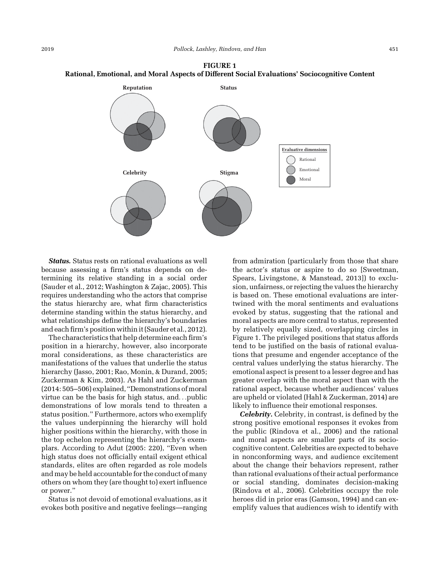



Status. Status rests on rational evaluations as well because assessing a firm's status depends on determining its relative standing in a social order (Sauder et al., 2012; Washington & Zajac, 2005). This requires understanding who the actors that comprise the status hierarchy are, what firm characteristics determine standing within the status hierarchy, and what relationships define the hierarchy's boundaries and each firm's position within it (Sauder et al., 2012).

The characteristics that help determine each firm's position in a hierarchy, however, also incorporate moral considerations, as these characteristics are manifestations of the values that underlie the status hierarchy (Jasso, 2001; Rao, Monin, & Durand, 2005; Zuckerman & Kim, 2003). As Hahl and Zuckerman (2014: 505–506) explained, "Demonstrations of moral virtue can be the basis for high status, and...public demonstrations of low morals tend to threaten a status position." Furthermore, actors who exemplify the values underpinning the hierarchy will hold higher positions within the hierarchy, with those in the top echelon representing the hierarchy's exemplars. According to Adut (2005: 220), "Even when high status does not officially entail exigent ethical standards, elites are often regarded as role models and may be held accountable for the conduct of many others on whom they (are thought to) exert influence or power."

Status is not devoid of emotional evaluations, as it evokes both positive and negative feelings—ranging

from admiration (particularly from those that share the actor's status or aspire to do so [Sweetman, Spears, Livingstone, & Manstead, 2013]) to exclusion, unfairness, or rejecting the values the hierarchy is based on. These emotional evaluations are intertwined with the moral sentiments and evaluations evoked by status, suggesting that the rational and moral aspects are more central to status, represented by relatively equally sized, overlapping circles in Figure 1. The privileged positions that status affords tend to be justified on the basis of rational evaluations that presume and engender acceptance of the central values underlying the status hierarchy. The emotional aspect is present to a lesser degree and has greater overlap with the moral aspect than with the rational aspect, because whether audiences' values are upheld or violated (Hahl & Zuckerman, 2014) are likely to influence their emotional responses.

Celebrity. Celebrity, in contrast, is defined by the strong positive emotional responses it evokes from the public (Rindova et al., 2006) and the rational and moral aspects are smaller parts of its sociocognitive content. Celebrities are expected to behave in nonconforming ways, and audience excitement about the change their behaviors represent, rather than rational evaluations of their actual performance or social standing, dominates decision-making (Rindova et al., 2006). Celebrities occupy the role heroes did in prior eras (Gamson, 1994) and can exemplify values that audiences wish to identify with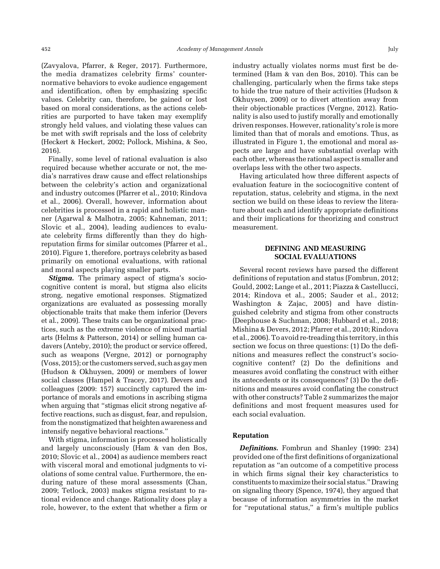(Zavyalova, Pfarrer, & Reger, 2017). Furthermore, the media dramatizes celebrity firms' counternormative behaviors to evoke audience engagement and identification, often by emphasizing specific values. Celebrity can, therefore, be gained or lost based on moral considerations, as the actions celebrities are purported to have taken may exemplify strongly held values, and violating these values can be met with swift reprisals and the loss of celebrity (Heckert & Heckert, 2002; Pollock, Mishina, & Seo, 2016).

Finally, some level of rational evaluation is also required because whether accurate or not, the media's narratives draw cause and effect relationships between the celebrity's action and organizational and industry outcomes (Pfarrer et al., 2010; Rindova et al., 2006). Overall, however, information about celebrities is processed in a rapid and holistic manner (Agarwal & Malhotra, 2005; Kahneman, 2011; Slovic et al., 2004), leading audiences to evaluate celebrity firms differently than they do highreputation firms for similar outcomes (Pfarrer et al., 2010). Figure 1, therefore, portrays celebrity as based primarily on emotional evaluations, with rational and moral aspects playing smaller parts.

**Stigma.** The primary aspect of stigma's sociocognitive content is moral, but stigma also elicits strong, negative emotional responses. Stigmatized organizations are evaluated as possessing morally objectionable traits that make them inferior (Devers et al., 2009). These traits can be organizational practices, such as the extreme violence of mixed martial arts (Helms & Patterson, 2014) or selling human cadavers (Anteby, 2010); the product or service offered, such as weapons (Vergne, 2012) or pornography (Voss, 2015); or the customers served, such as gay men (Hudson & Okhuysen, 2009) or members of lower social classes (Hampel & Tracey, 2017). Devers and colleagues (2009: 157) succinctly captured the importance of morals and emotions in ascribing stigma when arguing that "stigmas elicit strong negative affective reactions, such as disgust, fear, and repulsion, from the nonstigmatized that heighten awareness and intensify negative behavioral reactions."

With stigma, information is processed holistically and largely unconsciously (Ham & van den Bos, 2010; Slovic et al., 2004) as audience members react with visceral moral and emotional judgments to violations of some central value. Furthermore, the enduring nature of these moral assessments (Chan, 2009; Tetlock, 2003) makes stigma resistant to rational evidence and change. Rationality does play a role, however, to the extent that whether a firm or

industry actually violates norms must first be determined (Ham & van den Bos, 2010). This can be challenging, particularly when the firms take steps to hide the true nature of their activities (Hudson & Okhuysen, 2009) or to divert attention away from their objectionable practices (Vergne, 2012). Rationality is also used to justify morally and emotionally driven responses. However, rationality's role is more limited than that of morals and emotions. Thus, as illustrated in Figure 1, the emotional and moral aspects are large and have substantial overlap with each other, whereas the rational aspect is smaller and overlaps less with the other two aspects.

Having articulated how three different aspects of evaluation feature in the sociocognitive content of reputation, status, celebrity and stigma, in the next section we build on these ideas to review the literature about each and identify appropriate definitions and their implications for theorizing and construct measurement.

## DEFINING AND MEASURING SOCIAL EVALUATIONS

Several recent reviews have parsed the different definitions of reputation and status (Fombrun, 2012; Gould, 2002; Lange et al., 2011; Piazza & Castellucci, 2014; Rindova et al., 2005; Sauder et al., 2012; Washington & Zajac, 2005) and have distinguished celebrity and stigma from other constructs (Deephouse & Suchman, 2008; Hubbard et al., 2018; Mishina & Devers, 2012; Pfarrer et al., 2010; Rindova et al., 2006). To avoid re-treading this territory, in this section we focus on three questions: (1) Do the definitions and measures reflect the construct's sociocognitive content? (2) Do the definitions and measures avoid conflating the construct with either its antecedents or its consequences? (3) Do the definitions and measures avoid conflating the construct with other constructs? Table 2 summarizes the major definitions and most frequent measures used for each social evaluation.

#### Reputation

Definitions. Fombrun and Shanley (1990: 234) provided one of the first definitions of organizational reputation as "an outcome of a competitive process in which firms signal their key characteristics to constituents tomaximize their social status."Drawing on signaling theory (Spence, 1974), they argued that because of information asymmetries in the market for "reputational status," a firm's multiple publics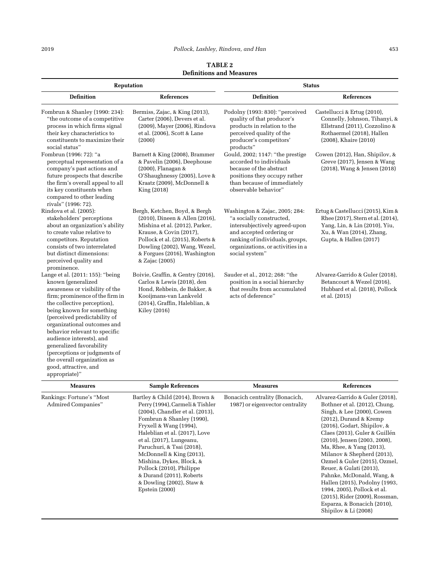### 2019 Pollock, Lashley, Rindova, and Han 453

TABLE 2 Definitions and Measures

| <b>Reputation</b>                                                                                                                                                                                                                                                                                                                                                                                                                                        |                                                                                                                                                                                                                                                                                                                | <b>Status</b>                                                                                                                                                                                                     |                                                                                                                                                                                                                                                                                                                             |  |
|----------------------------------------------------------------------------------------------------------------------------------------------------------------------------------------------------------------------------------------------------------------------------------------------------------------------------------------------------------------------------------------------------------------------------------------------------------|----------------------------------------------------------------------------------------------------------------------------------------------------------------------------------------------------------------------------------------------------------------------------------------------------------------|-------------------------------------------------------------------------------------------------------------------------------------------------------------------------------------------------------------------|-----------------------------------------------------------------------------------------------------------------------------------------------------------------------------------------------------------------------------------------------------------------------------------------------------------------------------|--|
| <b>Definition</b>                                                                                                                                                                                                                                                                                                                                                                                                                                        | <b>References</b>                                                                                                                                                                                                                                                                                              | <b>Definition</b>                                                                                                                                                                                                 | <b>References</b>                                                                                                                                                                                                                                                                                                           |  |
| Fombrun & Shanley (1990: 234):<br>"the outcome of a competitive<br>process in which firms signal<br>their key characteristics to<br>constituents to maximize their<br>social status"                                                                                                                                                                                                                                                                     | Bermiss, Zajac, & King (2013),<br>Carter (2006), Devers et al.<br>(2009), Mayer (2006), Rindova<br>et al. (2006), Scott & Lane<br>(2000)                                                                                                                                                                       | Podolny (1993: 830): "perceived<br>quality of that producer's<br>products in relation to the<br>perceived quality of the<br>producer's competitors'<br>products"                                                  | Castellucci & Ertug (2010),<br>Connelly, Johnson, Tihanyi, &<br>Ellstrand (2011), Cozzolino &<br>Rothaermel (2018), Hallen<br>$(2008)$ , Khaire $(2010)$                                                                                                                                                                    |  |
| Fombrun (1996: 72): "a<br>perceptual representation of a<br>company's past actions and<br>future prospects that describe<br>the firm's overall appeal to all<br>its key constituents when<br>compared to other leading<br>rivals" (1996: 72).                                                                                                                                                                                                            | Barnett & King (2008), Brammer<br>& Pavelin (2006), Deephouse<br>(2000), Flanagan &<br>O'Shaughnessy (2005), Love &<br>Kraatz (2009), McDonnell &<br>King (2018)                                                                                                                                               | Gould, 2002; 1147: "the prestige<br>accorded to individuals<br>because of the abstract<br>positions they occupy rather<br>than because of immediately<br>observable behavior"                                     | Cowen (2012), Han, Shipilov, &<br>Greve (2017), Jensen & Wang<br>(2018), Wang & Jensen (2018)                                                                                                                                                                                                                               |  |
| Rindova et al. (2005):<br>stakeholders' perceptions<br>about an organization's ability<br>to create value relative to<br>competitors. Reputation<br>consists of two interrelated<br>but distinct dimensions:<br>perceived quality and<br>prominence.                                                                                                                                                                                                     | Bergh, Ketchen, Boyd, & Bergh<br>(2010), Dineen & Allen (2016),<br>Mishina et al. (2012), Parker,<br>Krause, & Covin (2017),<br>Pollock et al. (2015), Roberts &<br>Dowling (2002), Wang, Wezel,<br>& Forgues (2016), Washington<br>& Zajac (2005)                                                             | Washington & Zajac, 2005; 284:<br>"a socially constructed,<br>intersubjectively agreed-upon<br>and accepted ordering or<br>ranking of individuals, groups,<br>organizations, or activities in a<br>social system" | Ertug & Castellucci (2015), Kim &<br>Rhee (2017), Stern et al. (2014),<br>Yang, Lin, & Lin (2010), Yiu,<br>Xu, & Wan (2014), Zhang,<br>Gupta, & Hallen (2017)                                                                                                                                                               |  |
| Lange et al. (2011: 155): "being<br>known (generalized<br>awareness or visibility of the<br>firm; prominence of the firm in<br>the collective perception),<br>being known for something<br>(perceived predictability of<br>organizational outcomes and<br>behavior relevant to specific<br>audience interests), and<br>generalized favorability<br>(perceptions or judgments of<br>the overall organization as<br>good, attractive, and<br>appropriate)" | Boivie, Graffin, & Gentry (2016),<br>Carlos & Lewis (2018), den<br>Hond, Rehbein, de Bakker, &<br>Kooijmans-van Lankveld<br>(2014), Graffin, Haleblian, &<br>Kiley (2016)                                                                                                                                      | Sauder et al., 2012; 268: "the<br>position in a social hierarchy<br>that results from accumulated<br>acts of deference"                                                                                           | Alvarez-Garrido & Guler (2018),<br>Betancourt & Wezel (2016),<br>Hubbard et al. (2018), Pollock<br>et al. (2015)                                                                                                                                                                                                            |  |
| <b>Measures</b>                                                                                                                                                                                                                                                                                                                                                                                                                                          | <b>Sample References</b>                                                                                                                                                                                                                                                                                       | <b>Measures</b>                                                                                                                                                                                                   | <b>References</b>                                                                                                                                                                                                                                                                                                           |  |
| Rankings: Fortune's "Most<br>Admired Companies"                                                                                                                                                                                                                                                                                                                                                                                                          | Bartley & Child (2014), Brown &<br>Perry (1994), Carmeli & Tishler<br>(2004), Chandler et al. (2013),<br>Fombrun & Shanley (1990),<br>Fryxell & Wang (1994),<br>Haleblian et al. (2017), Love<br>et al. (2017), Lungeanu,<br>Paruchuri, & Tsai (2018),<br>McDonnell & King (2013),<br>Mishina, Dykes, Block, & | Bonacich centrality (Bonacich,<br>1987) or eigenvector centrality                                                                                                                                                 | Alvarez-Garrido & Guler (2018),<br>Bothner et al. (2012), Chung,<br>Singh, & Lee (2000), Cowen<br>$(2012)$ , Durand & Kremp<br>(2016), Godart, Shipilov, &<br>Claes (2013), Guler & Guillén<br>$(2010)$ , Jensen $(2003, 2008)$ ,<br>Ma, Rhee, & Yang (2013),<br>Milanov & Shepherd (2013),<br>Ozmel & Guler (2015), Ozmel, |  |

Pollock (2010), Philippe & Durand (2011), Roberts & Dowling (2002), Staw & Epstein (2000) Reuer, & Gulati (2013), Pahnke, McDonald, Wang, & Hallen (2015), Podolny (1993, 1994, 2005), Pollock et al. (2015), Rider (2009), Rossman, Esparza, & Bonacich (2010), Shipilov & Li (2008)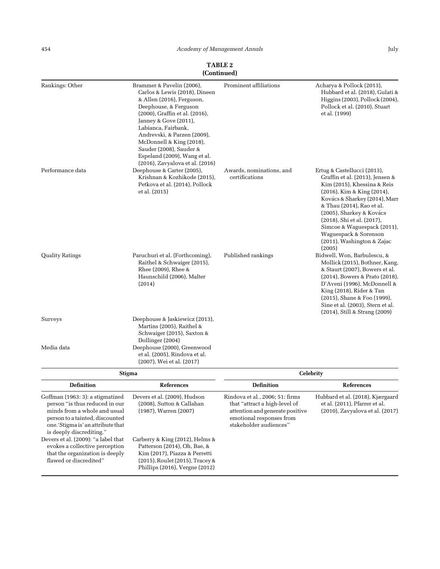| Rankings: Other                                                    | Brammer & Pavelin (2006),<br>Carlos & Lewis (2018), Dineen<br>& Allen (2016), Ferguson,<br>Deephouse, & Ferguson<br>(2000), Graffin et al. (2016),<br>Janney & Gove (2011),<br>Labianca, Fairbank,<br>Andrevski, & Parzen (2009),<br>McDonnell & King (2018),<br>Sauder (2008), Sauder &<br>Espeland (2009), Wang et al.<br>(2016), Zavyalova et al. (2016) | Prominent affiliations                                           | Acharya & Pollock (2013),<br>Hubbard et al. (2018), Gulati &<br>Higgins (2003), Pollock (2004),<br>Pollock et al. (2010), Stuart<br>et al. (1999)                                                                                                                                                                                                      |  |
|--------------------------------------------------------------------|-------------------------------------------------------------------------------------------------------------------------------------------------------------------------------------------------------------------------------------------------------------------------------------------------------------------------------------------------------------|------------------------------------------------------------------|--------------------------------------------------------------------------------------------------------------------------------------------------------------------------------------------------------------------------------------------------------------------------------------------------------------------------------------------------------|--|
| Performance data                                                   | Deephouse & Carter (2005),<br>Krishnan & Kozhikode (2015),<br>Petkova et al. (2014), Pollock<br>et al. (2015)                                                                                                                                                                                                                                               | Awards, nominations, and<br>certifications                       | Ertug & Castellucci (2013),<br>Graffin et al. (2013), Jensen &<br>Kim (2015), Khessina & Reis<br>(2016), Kim & King (2014),<br>Kovács & Sharkey (2014), Marr<br>& Thau (2014), Rao et al.<br>(2005), Sharkey & Kovács<br>(2018), Shi et al. (2017),<br>Simcoe & Waguespack (2011),<br>Waguespack & Sorenson<br>$(2011)$ , Washington & Zajac<br>(2005) |  |
| <b>Quality Ratings</b>                                             | Paruchuri et al. (Forthcoming),<br>Raithel & Schwaiger (2015),<br>Rhee (2009), Rhee &<br>Haunschild (2006), Malter<br>(2014)                                                                                                                                                                                                                                | Published rankings                                               | Bidwell, Won, Barbulescu, &<br>Mollick (2015), Bothner, Kang,<br>& Staurt (2007), Bowers et al.<br>(2014), Bowers & Prato (2018),<br>D'Aveni (1996), McDonnell &<br>King $(2018)$ , Rider & Tan<br>(2015), Shane & Foo (1999),<br>Sine et al. (2003), Stern et al.<br>$(2014)$ , Still & Strang $(2009)$                                               |  |
| Surveys                                                            | Deephouse & Jaskiewicz (2013),<br>Martins (2005), Raithel &<br>Schwaiger (2015), Saxton &<br>Dollinger (2004)                                                                                                                                                                                                                                               |                                                                  |                                                                                                                                                                                                                                                                                                                                                        |  |
| Media data                                                         | Deephouse (2000), Greenwood<br>et al. (2005), Rindova et al.<br>(2007), Wei et al. (2017)                                                                                                                                                                                                                                                                   |                                                                  |                                                                                                                                                                                                                                                                                                                                                        |  |
|                                                                    | <b>Stigma</b>                                                                                                                                                                                                                                                                                                                                               | <b>Celebrity</b>                                                 |                                                                                                                                                                                                                                                                                                                                                        |  |
| <b>Definition</b>                                                  | <b>References</b>                                                                                                                                                                                                                                                                                                                                           | <b>Definition</b>                                                | <b>References</b>                                                                                                                                                                                                                                                                                                                                      |  |
| Goffman (1963: 3): a stigmatized<br>person "is thus reduced in our | Devers et al. (2009), Hudson<br>(2008), Sutton & Callahan                                                                                                                                                                                                                                                                                                   | Rindova et al., 2006; 51: firms<br>that "attract a high-level of | Hubbard et al. (2018), Kjærgaard<br>et al. (2011), Pfarrer et al.                                                                                                                                                                                                                                                                                      |  |

attention and generate positive emotional responses from stakeholder audiences"

(2010), Zavyalova et al. (2017)

person "is thus reduced in our minds from a whole and usual person to a tainted, discounted one.'Stigma is' an attribute that is deeply discrediting."

Devers et al. (2009): "a label that evokes a collective perception that the organization is deeply flawed or discredited"

(1987), Warren (2007)

Carberry & King (2012), Helms & Patterson (2014), Oh, Bae, & Kim (2017), Piazza & Perretti (2015), Roulet (2015), Tracey & Phillips (2016), Vergne (2012)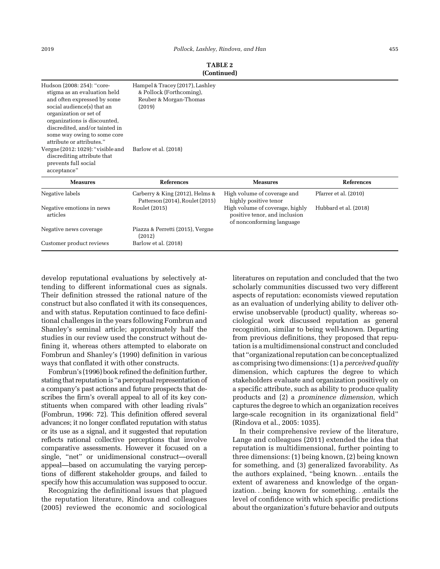| Hudson (2008: 254): "core-<br>stigma as an evaluation held<br>and often expressed by some<br>social audience(s) that an<br>organization or set of<br>organizations is discounted,<br>discredited, and/or tainted in<br>some way owing to some core<br>attribute or attributes." | Hampel & Tracey (2017), Lashley<br>& Pollock (Forthcoming),<br>Reuber & Morgan-Thomas<br>(2019) |                                                                                               |                       |
|---------------------------------------------------------------------------------------------------------------------------------------------------------------------------------------------------------------------------------------------------------------------------------|-------------------------------------------------------------------------------------------------|-----------------------------------------------------------------------------------------------|-----------------------|
| Vergne $(2012:1029)$ : "visible and<br>discrediting attribute that<br>prevents full social<br>acceptance"                                                                                                                                                                       | Barlow et al. (2018)                                                                            |                                                                                               |                       |
| <b>Measures</b>                                                                                                                                                                                                                                                                 | <b>References</b>                                                                               | <b>Measures</b>                                                                               | <b>References</b>     |
| Negative labels                                                                                                                                                                                                                                                                 | Carberry & King (2012), Helms &<br>Patterson (2014), Roulet (2015)                              | High volume of coverage and<br>highly positive tenor                                          | Pfarrer et al. (2010) |
| Negative emotions in news<br>articles                                                                                                                                                                                                                                           | Roulet (2015)                                                                                   | High volume of coverage, highly<br>positive tenor, and inclusion<br>of nonconforming language | Hubbard et al. (2018) |
| Negative news coverage                                                                                                                                                                                                                                                          | Piazza & Perretti (2015), Vergne<br>(2012)                                                      |                                                                                               |                       |
| Customer product reviews                                                                                                                                                                                                                                                        | Barlow et al. (2018)                                                                            |                                                                                               |                       |

## TABLE 2 (Continued)

develop reputational evaluations by selectively attending to different informational cues as signals. Their definition stressed the rational nature of the construct but also conflated it with its consequences, and with status. Reputation continued to face definitional challenges in the years following Fombrun and Shanley's seminal article; approximately half the studies in our review used the construct without defining it, whereas others attempted to elaborate on Fombrun and Shanley's (1990) definition in various ways that conflated it with other constructs.

Fombrun's (1996) book refined the definition further, stating that reputation is "a perceptual representation of a company's past actions and future prospects that describes the firm's overall appeal to all of its key constituents when compared with other leading rivals" (Fombrun, 1996: 72). This definition offered several advances; it no longer conflated reputation with status or its use as a signal, and it suggested that reputation reflects rational collective perceptions that involve comparative assessments. However it focused on a single, "net" or unidimensional construct—overall appeal—based on accumulating the varying perceptions of different stakeholder groups, and failed to specify how this accumulation was supposed to occur.

Recognizing the definitional issues that plagued the reputation literature, Rindova and colleagues (2005) reviewed the economic and sociological

literatures on reputation and concluded that the two scholarly communities discussed two very different aspects of reputation: economists viewed reputation as an evaluation of underlying ability to deliver otherwise unobservable (product) quality, whereas sociological work discussed reputation as general recognition, similar to being well-known. Departing from previous definitions, they proposed that reputation is a multidimensional construct and concluded that "organizational reputation can be conceptualized as comprising two dimensions: (1) a *perceived quality* dimension, which captures the degree to which stakeholders evaluate and organization positively on a specific attribute, such as ability to produce quality products and (2) a prominence dimension, which captures the degree to which an organization receives large-scale recognition in its organizational field" (Rindova et al., 2005: 1035).

In their comprehensive review of the literature, Lange and colleagues (2011) extended the idea that reputation is multidimensional, further pointing to three dimensions: (1) being known, (2) being known for something, and (3) generalized favorability. As the authors explained, "being known...entails the extent of awareness and knowledge of the organization...being known for something...entails the level of confidence with which specific predictions about the organization's future behavior and outputs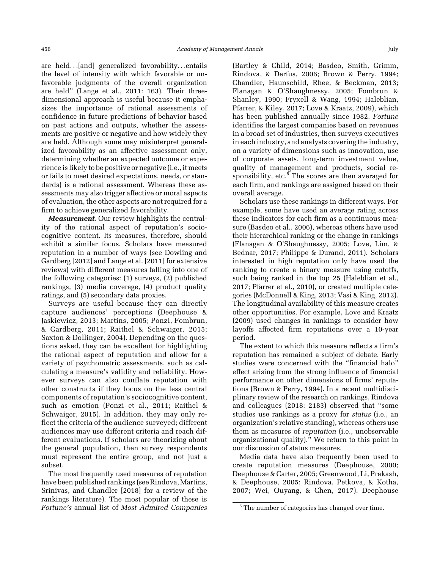are held...[and] generalized favorability...entails the level of intensity with which favorable or unfavorable judgments of the overall organization are held" (Lange et al., 2011: 163). Their threedimensional approach is useful because it emphasizes the importance of rational assessments of confidence in future predictions of behavior based on past actions and outputs, whether the assessments are positive or negative and how widely they are held. Although some may misinterpret generalized favorability as an affective assessment only, determining whether an expected outcome or experience is likely to be positive or negative (i.e., it meets or fails to meet desired expectations, needs, or standards) is a rational assessment. Whereas these assessments may also trigger affective or moral aspects of evaluation, the other aspects are not required for a firm to achieve generalized favorability.

Measurement. Our review highlights the centrality of the rational aspect of reputation's sociocognitive content. Its measures, therefore, should exhibit a similar focus. Scholars have measured reputation in a number of ways (see Dowling and Gardberg [2012] and Lange et al. [2011] for extensive reviews) with different measures falling into one of the following categories: (1) surveys, (2) published rankings, (3) media coverage, (4) product quality ratings, and (5) secondary data proxies.

Surveys are useful because they can directly capture audiences' perceptions (Deephouse & Jaskiewicz, 2013; Martins, 2005; Ponzi, Fombrun, & Gardberg, 2011; Raithel & Schwaiger, 2015; Saxton & Dollinger, 2004). Depending on the questions asked, they can be excellent for highlighting the rational aspect of reputation and allow for a variety of psychometric assessments, such as calculating a measure's validity and reliability. However surveys can also conflate reputation with other constructs if they focus on the less central components of reputation's sociocognitive content, such as emotion (Ponzi et al., 2011; Raithel & Schwaiger, 2015). In addition, they may only reflect the criteria of the audience surveyed; different audiences may use different criteria and reach different evaluations. If scholars are theorizing about the general population, then survey respondents must represent the entire group, and not just a subset.

The most frequently used measures of reputation have been published rankings (see Rindova, Martins, Srinivas, and Chandler [2018] for a review of the rankings literature). The most popular of these is Fortune's annual list of Most Admired Companies

(Bartley & Child, 2014; Basdeo, Smith, Grimm, Rindova, & Derfus, 2006; Brown & Perry, 1994; Chandler, Haunschild, Rhee, & Beckman, 2013; Flanagan & O'Shaughnessy, 2005; Fombrun & Shanley, 1990; Fryxell & Wang, 1994; Haleblian, Pfarrer, & Kiley, 2017; Love & Kraatz, 2009), which has been published annually since 1982. Fortune identifies the largest companies based on revenues in a broad set of industries, then surveys executives in each industry, and analysts covering the industry, on a variety of dimensions such as innovation, use of corporate assets, long-term investment value, quality of management and products, social responsibility, etc.<sup>5</sup> The scores are then averaged for each firm, and rankings are assigned based on their overall average.

Scholars use these rankings in different ways. For example, some have used an average rating across these indicators for each firm as a continuous measure (Basdeo et al., 2006), whereas others have used their hierarchical ranking or the change in rankings (Flanagan & O'Shaughnessy, 2005; Love, Lim, & Bednar, 2017; Philippe & Durand, 2011). Scholars interested in high reputation only have used the ranking to create a binary measure using cutoffs, such being ranked in the top 25 (Haleblian et al., 2017; Pfarrer et al., 2010), or created multiple categories (McDonnell & King, 2013; Vasi & King, 2012). The longitudinal availability of this measure creates other opportunities. For example, Love and Kraatz (2009) used changes in rankings to consider how layoffs affected firm reputations over a 10-year period.

The extent to which this measure reflects a firm's reputation has remained a subject of debate. Early studies were concerned with the "financial halo" effect arising from the strong influence of financial performance on other dimensions of firms' reputations (Brown & Perry, 1994). In a recent multidisciplinary review of the research on rankings, Rindova and colleagues (2018: 2183) observed that "some studies use rankings as a proxy for *status* (i.e., an organization's relative standing), whereas others use them as measures of reputation (i.e., unobservable organizational quality)." We return to this point in our discussion of status measures.

Media data have also frequently been used to create reputation measures (Deephouse, 2000; Deephouse & Carter, 2005; Greenwood, Li, Prakash, & Deephouse, 2005; Rindova, Petkova, & Kotha, 2007; Wei, Ouyang, & Chen, 2017). Deephouse

<sup>&</sup>lt;sup>5</sup> The number of categories has changed over time.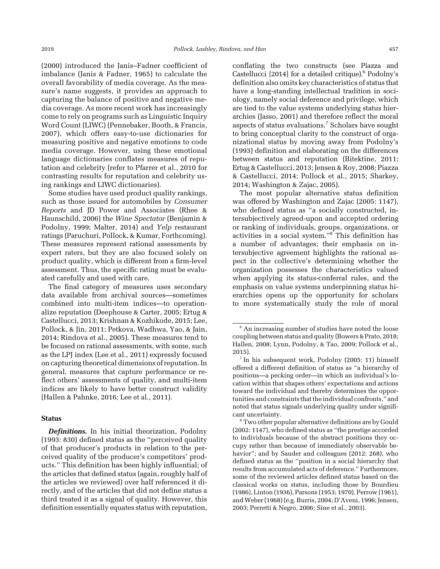(2000) introduced the Janis–Fadner coefficient of imbalance (Janis & Fadner, 1965) to calculate the overall favorability of media coverage. As the measure's name suggests, it provides an approach to capturing the balance of positive and negative media coverage. As more recent work has increasingly come to rely on programs such as Linguistic Inquiry Word Count (LIWC) (Pennebaker, Booth, & Francis, 2007), which offers easy-to-use dictionaries for measuring positive and negative emotions to code media coverage. However, using these emotional language dictionaries conflates measures of reputation and celebrity (refer to Pfarrer et al., 2010 for contrasting results for reputation and celebrity using rankings and LIWC dictionaries).

Some studies have used product quality rankings, such as those issued for automobiles by Consumer Reports and JD Power and Associates (Rhee & Haunschild, 2006) the Wine Spectator (Benjamin & Podolny, 1999; Malter, 2014) and Yelp restaurant ratings (Paruchuri, Pollock, & Kumar, Forthcoming). These measures represent rational assessments by expert raters, but they are also focused solely on product quality, which is different from a firm-level assessment. Thus, the specific rating must be evaluated carefully and used with care.

The final category of measures uses secondary data available from archival sources—sometimes combined into multi-item indices—to operationalize reputation (Deephouse & Carter, 2005; Ertug & Castellucci, 2013; Krishnan & Kozhikode, 2015; Lee, Pollock, & Jin, 2011; Petkova, Wadhwa, Yao, & Jain, 2014; Rindova et al., 2005). These measures tend to be focused on rational assessments, with some, such as the LPJ index (Lee et al., 2011) expressly focused on capturing theoretical dimensions of reputation. In general, measures that capture performance or reflect others' assessments of quality, and multi-item indices are likely to have better construct validity (Hallen & Pahnke, 2016; Lee et al., 2011).

#### **Status**

conflating the two constructs (see Piazza and Castellucci [2014] for a detailed critique).<sup>6</sup> Podolny's definition also omits key characteristics of status that have a long-standing intellectual tradition in sociology, namely social deference and privilege, which are tied to the value systems underlying status hierarchies (Jasso, 2001) and therefore reflect the moral aspects of status evaluations.<sup>7</sup> Scholars have sought to bring conceptual clarity to the construct of organizational status by moving away from Podolny's (1993) definition and elaborating on the differences between status and reputation (Bitektine, 2011; Ertug & Castellucci, 2013; Jensen & Roy, 2008; Piazza & Castellucci, 2014; Pollock et al., 2015; Sharkey, 2014; Washington & Zajac, 2005).

The most popular alternative status definition was offered by Washington and Zajac (2005: 1147), who defined status as "a socially constructed, intersubjectively agreed-upon and accepted ordering or ranking of individuals, groups, organizations, or activities in a social system."<sup>8</sup> This definition has a number of advantages; their emphasis on intersubjective agreement highlights the rational aspect in the collective's determining whether the organization possesses the characteristics valued when applying its status-conferral rules, and the emphasis on value systems underpinning status hierarchies opens up the opportunity for scholars to more systematically study the role of moral

**Definitions.** In his initial theorization, Podolny (1993: 830) defined status as the "perceived quality of that producer's products in relation to the perceived quality of the producer's competitors' products." This definition has been highly influential; of the articles that defined status (again, roughly half of the articles we reviewed) over half referenced it directly, and of the articles that did not define status a third treated it as a signal of quality. However, this definition essentially equates status with reputation,

<sup>&</sup>lt;sup>6</sup> An increasing number of studies have noted the loose coupling between status and quality (Bowers & Prato, 2018; Hallen, 2008; Lynn, Podolny, & Tao, 2009; Pollock et al., 2015).

<sup>7</sup> In his subsequent work, Podolny (2005: 11) himself offered a different definition of status as "a hierarchy of positions—a pecking order—in which an individual's location within that shapes others' expectations and actions toward the individual and thereby determines the opportunities and constraints that the individual confronts," and noted that status signals underlying quality under significant uncertainty.

<sup>8</sup> Two other popular alternative definitions are by Gould (2002: 1147), who defined status as "the prestige accorded to individuals because of the abstract positions they occupy rather than because of immediately observable behavior"; and by Sauder and colleagues (2012: 268), who defined status as the "position in a social hierarchy that results from accumulated acts of deference." Furthermore, some of the reviewed articles defined status based on the classical works on status, including those by Bourdieu (1986), Linton (1936), Parsons (1953; 1970), Perrow (1961), and Weber (1968) (e.g. Burris, 2004; D'Aveni, 1996; Jensen, 2003; Perretti & Negro, 2006; Sine et al., 2003).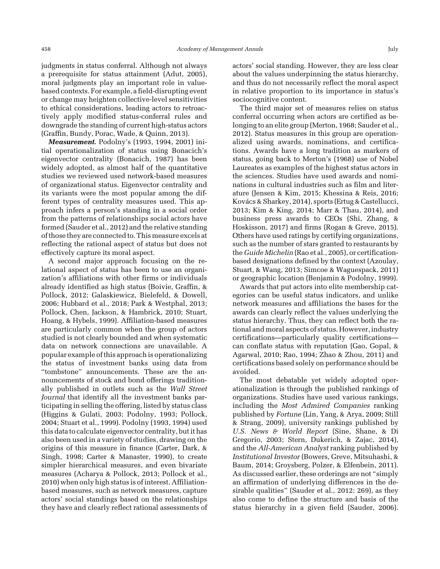judgments in status conferral. Although not always a prerequisite for status attainment (Adut, 2005), moral judgments play an important role in valuebased contexts. For example, a field-disrupting event or change may heighten collective-level sensitivities to ethical considerations, leading actors to retroactively apply modified status-conferral rules and downgrade the standing of current high-status actors (Graffin, Bundy, Porac, Wade, & Quinn, 2013).

Measurement. Podolny's (1993, 1994, 2001) initial operationalization of status using Bonacich's eigenvector centrality (Bonacich, 1987) has been widely adopted, as almost half of the quantitative studies we reviewed used network-based measures of organizational status. Eigenvector centrality and its variants were the most popular among the different types of centrality measures used. This approach infers a person's standing in a social order from the patterns of relationships social actors have formed (Sauder et al., 2012) and the relative standing of those they are connected to. This measure excels at reflecting the rational aspect of status but does not effectively capture its moral aspect.

A second major approach focusing on the relational aspect of status has been to use an organization's affiliations with other firms or individuals already identified as high status (Boivie, Graffin, & Pollock, 2012; Galaskiewicz, Bielefeld, & Dowell, 2006; Hubbard et al., 2018; Park & Westphal, 2013; Pollock, Chen, Jackson, & Hambrick, 2010; Stuart, Hoang, & Hybels, 1999). Affiliation-based measures are particularly common when the group of actors studied is not clearly bounded and when systematic data on network connections are unavailable. A popular example of this approach is operationalizing the status of investment banks using data from "tombstone" announcements. These are the announcements of stock and bond offerings traditionally published in outlets such as the Wall Street Journal that identify all the investment banks participating in selling the offering, listed by status class (Higgins & Gulati, 2003; Podolny, 1993; Pollock, 2004; Stuart et al., 1999). Podolny (1993, 1994) used this data to calculate eigenvector centrality, but it has also been used in a variety of studies, drawing on the origins of this measure in finance (Carter, Dark, & Singh, 1998; Carter & Manaster, 1990), to create simpler hierarchical measures, and even bivariate measures (Acharya & Pollock, 2013; Pollock et al., 2010) when only high status is of interest. Affiliationbased measures, such as network measures, capture actors' social standings based on the relationships they have and clearly reflect rational assessments of

actors' social standing. However, they are less clear about the values underpinning the status hierarchy, and thus do not necessarily reflect the moral aspect in relative proportion to its importance in status's sociocognitive content.

The third major set of measures relies on status conferral occurring when actors are certified as belonging to an elite group (Merton, 1968; Sauder et al., 2012). Status measures in this group are operationalized using awards, nominations, and certifications. Awards have a long tradition as markers of status, going back to Merton's (1968) use of Nobel Laureates as examples of the highest status actors in the sciences. Studies have used awards and nominations in cultural industries such as film and literature (Jensen & Kim, 2015; Khessina & Reis, 2016; Kovács & Sharkey, 2014), sports (Ertug & Castellucci, 2013; Kim & King, 2014; Marr & Thau, 2014), and business press awards to CEOs (Shi, Zhang, & Hoskisson, 2017) and firms (Rogan & Greve, 2015). Others have used ratings by certifying organizations, such as the number of stars granted to restaurants by the Guide Michelin (Rao et al., 2005), or certificationbased designations defined by the context (Azoulay, Stuart, & Wang, 2013; Simcoe & Waguespack, 2011) or geographic location (Benjamin & Podolny, 1999).

Awards that put actors into elite membership categories can be useful status indicators, and unlike network measures and affiliations the bases for the awards can clearly reflect the values underlying the status hierarchy. Thus, they can reflect both the rational and moral aspects of status. However, industry certifications—particularly quality certifications can conflate status with reputation (Gao, Gopal, & Agarwal, 2010; Rao, 1994; Zhao & Zhou, 2011) and certifications based solely on performance should be avoided.

The most debatable yet widely adopted operationalization is through the published rankings of organizations. Studies have used various rankings, including the Most Admired Companies ranking published by Fortune (Lin, Yang, & Arya, 2009; Still & Strang, 2009), university rankings published by U.S. News & World Report (Sine, Shane, & Di Gregorio, 2003; Stern, Dukerich, & Zajac, 2014), and the All-American Analyst ranking published by Institutional Investor (Bowers, Greve, Mitsuhashi, & Baum, 2014; Groysberg, Polzer, & Elfenbein, 2011). As discussed earlier, these orderings are not "simply an affirmation of underlying differences in the desirable qualities" (Sauder et al., 2012: 269), as they also come to define the structure and basis of the status hierarchy in a given field (Sauder, 2006).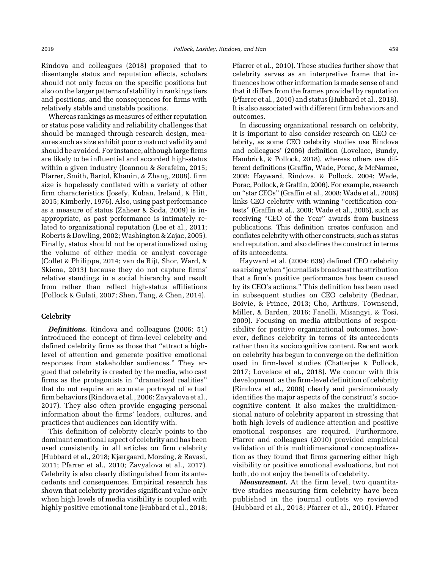Rindova and colleagues (2018) proposed that to disentangle status and reputation effects, scholars should not only focus on the specific positions but also on the larger patterns of stability in rankings tiers and positions, and the consequences for firms with relatively stable and unstable positions.

Whereas rankings as measures of either reputation or status pose validity and reliability challenges that should be managed through research design, measures such as size exhibit poor construct validity and should be avoided. For instance, although large firms are likely to be influential and accorded high-status within a given industry (Ioannou & Serafeim, 2015; Pfarrer, Smith, Bartol, Khanin, & Zhang, 2008), firm size is hopelessly conflated with a variety of other firm characteristics (Josefy, Kuban, Ireland, & Hitt, 2015; Kimberly, 1976). Also, using past performance as a measure of status (Zaheer & Soda, 2009) is inappropriate, as past performance is intimately related to organizational reputation (Lee et al., 2011; Roberts & Dowling, 2002;Washington & Zajac, 2005). Finally, status should not be operationalized using the volume of either media or analyst coverage (Collet & Philippe, 2014; van de Rijt, Shor, Ward, & Skiena, 2013) because they do not capture firms' relative standings in a social hierarchy and result from rather than reflect high-status affiliations (Pollock & Gulati, 2007; Shen, Tang, & Chen, 2014).

#### **Celebrity**

**Definitions.** Rindova and colleagues (2006: 51) introduced the concept of firm-level celebrity and defined celebrity firms as those that "attract a highlevel of attention and generate positive emotional responses from stakeholder audiences." They argued that celebrity is created by the media, who cast firms as the protagonists in "dramatized realities" that do not require an accurate portrayal of actual firm behaviors (Rindova et al., 2006; Zavyalova et al., 2017). They also often provide engaging personal information about the firms' leaders, cultures, and practices that audiences can identify with.

This definition of celebrity clearly points to the dominant emotional aspect of celebrity and has been used consistently in all articles on firm celebrity (Hubbard et al., 2018; Kjærgaard, Morsing, & Ravasi, 2011; Pfarrer et al., 2010; Zavyalova et al., 2017). Celebrity is also clearly distinguished from its antecedents and consequences. Empirical research has shown that celebrity provides significant value only when high levels of media visibility is coupled with highly positive emotional tone (Hubbard et al., 2018; Pfarrer et al., 2010). These studies further show that celebrity serves as an interpretive frame that influences how other information is made sense of and that it differs from the frames provided by reputation (Pfarrer et al., 2010) and status (Hubbard et al., 2018). It is also associated with different firm behaviors and outcomes.

In discussing organizational research on celebrity, it is important to also consider research on CEO celebrity, as some CEO celebrity studies use Rindova and colleagues' (2006) definition (Lovelace, Bundy, Hambrick, & Pollock, 2018), whereas others use different definitions (Graffin, Wade, Porac, & McNamee, 2008; Hayward, Rindova, & Pollock, 2004; Wade, Porac, Pollock, & Graffin, 2006). For example, research on "star CEOs" (Graffin et al., 2008; Wade et al., 2006) links CEO celebrity with winning "certification contests" (Graffin et al., 2008; Wade et al., 2006), such as receiving "CEO of the Year" awards from business publications. This definition creates confusion and conflates celebrity with other constructs, such as status and reputation, and also defines the construct in terms of its antecedents.

Hayward et al. (2004: 639) defined CEO celebrity as arising when "journalists broadcast the attribution that a firm's positive performance has been caused by its CEO's actions." This definition has been used in subsequent studies on CEO celebrity (Bednar, Boivie, & Prince, 2013; Cho, Arthurs, Townsend, Miller, & Barden, 2016; Fanelli, Misangyi, & Tosi, 2009). Focusing on media attributions of responsibility for positive organizational outcomes, however, defines celebrity in terms of its antecedents rather than its sociocognitive content. Recent work on celebrity has begun to converge on the definition used in firm-level studies (Chatterjee & Pollock, 2017; Lovelace et al., 2018). We concur with this development, as the firm-level definition of celebrity (Rindova et al., 2006) clearly and parsimoniously identifies the major aspects of the construct's sociocognitive content. It also makes the multidimensional nature of celebrity apparent in stressing that both high levels of audience attention and positive emotional responses are required. Furthermore, Pfarrer and colleagues (2010) provided empirical validation of this multidimensional conceptualization as they found that firms garnering either high visibility or positive emotional evaluations, but not both, do not enjoy the benefits of celebrity.

Measurement. At the firm level, two quantitative studies measuring firm celebrity have been published in the journal outlets we reviewed (Hubbard et al., 2018; Pfarrer et al., 2010). Pfarrer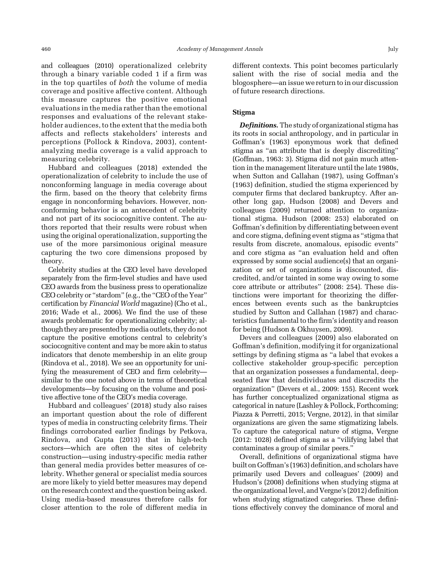and colleagues (2010) operationalized celebrity through a binary variable coded 1 if a firm was in the top quartiles of both the volume of media coverage and positive affective content. Although this measure captures the positive emotional evaluations in the media rather than the emotional responses and evaluations of the relevant stakeholder audiences, to the extent that the media both affects and reflects stakeholders' interests and perceptions (Pollock & Rindova, 2003), contentanalyzing media coverage is a valid approach to measuring celebrity.

Hubbard and colleagues (2018) extended the operationalization of celebrity to include the use of nonconforming language in media coverage about the firm, based on the theory that celebrity firms engage in nonconforming behaviors. However, nonconforming behavior is an antecedent of celebrity and not part of its sociocognitive content. The authors reported that their results were robust when using the original operationalization, supporting the use of the more parsimonious original measure capturing the two core dimensions proposed by theory.

Celebrity studies at the CEO level have developed separately from the firm-level studies and have used CEO awards from the business press to operationalize CEO celebrity or "stardom" (e.g., the "CEO of the Year" certification by Financial World magazine) (Cho et al., 2016; Wade et al., 2006). We find the use of these awards problematic for operationalizing celebrity; although they are presented bymedia outlets, they do not capture the positive emotions central to celebrity's sociocognitive content and may be more akin to status indicators that denote membership in an elite group (Rindova et al., 2018). We see an opportunity for unifying the measurement of CEO and firm celebrity similar to the one noted above in terms of theoretical developments—by focusing on the volume and positive affective tone of the CEO's media coverage.

Hubbard and colleagues' (2018) study also raises an important question about the role of different types of media in constructing celebrity firms. Their findings corroborated earlier findings by Petkova, Rindova, and Gupta (2013) that in high-tech sectors—which are often the sites of celebrity construction—using industry-specific media rather than general media provides better measures of celebrity. Whether general or specialist media sources are more likely to yield better measures may depend on the research context and the question being asked. Using media-based measures therefore calls for closer attention to the role of different media in

different contexts. This point becomes particularly salient with the rise of social media and the blogosphere—an issue we return to in our discussion of future research directions.

## Stigma

**Definitions.** The study of organizational stigma has its roots in social anthropology, and in particular in Goffman's (1963) eponymous work that defined stigma as "an attribute that is deeply discrediting" (Goffman, 1963: 3). Stigma did not gain much attention in the management literature until the late 1980s, when Sutton and Callahan (1987), using Goffman's (1963) definition, studied the stigma experienced by computer firms that declared bankruptcy. After another long gap, Hudson (2008) and Devers and colleagues (2009) returned attention to organizational stigma. Hudson (2008: 253) elaborated on Goffman's definition by differentiating between event and core stigma, defining event stigma as "stigma that results from discrete, anomalous, episodic events" and core stigma as "an evaluation held and often expressed by some social audience(s) that an organization or set of organizations is discounted, discredited, and/or tainted in some way owing to some core attribute or attributes" (2008: 254). These distinctions were important for theorizing the differences between events such as the bankruptcies studied by Sutton and Callahan (1987) and characteristics fundamental to the firm's identity and reason for being (Hudson & Okhuysen, 2009).

Devers and colleagues (2009) also elaborated on Goffman's definition, modifying it for organizational settings by defining stigma as "a label that evokes a collective stakeholder group-specific perception that an organization possesses a fundamental, deepseated flaw that deindividuates and discredits the organization" (Devers et al., 2009: 155). Recent work has further conceptualized organizational stigma as categorical in nature (Lashley & Pollock, Forthcoming; Piazza & Perretti, 2015; Vergne, 2012), in that similar organizations are given the same stigmatizing labels. To capture the categorical nature of stigma, Vergne (2012: 1028) defined stigma as a "vilifying label that contaminates a group of similar peers."

Overall, definitions of organizational stigma have built on Goffman's (1963) definition, and scholars have primarily used Devers and colleagues' (2009) and Hudson's (2008) definitions when studying stigma at the organizational level, and Vergne's (2012) definition when studying stigmatized categories. These definitions effectively convey the dominance of moral and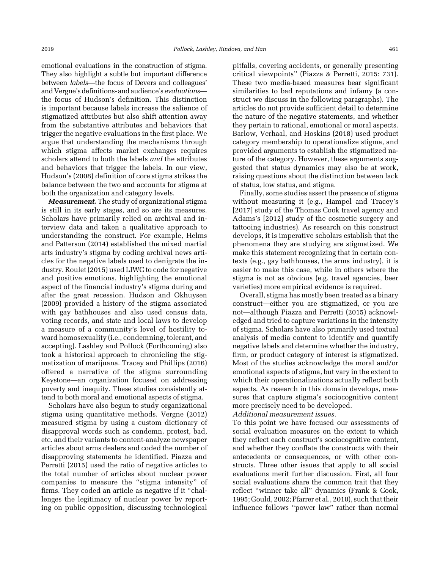emotional evaluations in the construction of stigma. They also highlight a subtle but important difference between labels—the focus of Devers and colleagues' and Vergne's definitions- and audience's evaluations the focus of Hudson's definition. This distinction is important because labels increase the salience of stigmatized attributes but also shift attention away from the substantive attributes and behaviors that trigger the negative evaluations in the first place. We argue that understanding the mechanisms through which stigma affects market exchanges requires scholars attend to both the labels and the attributes and behaviors that trigger the labels. In our view, Hudson's (2008) definition of core stigma strikes the balance between the two and accounts for stigma at both the organization and category levels.

Measurement. The study of organizational stigma is still in its early stages, and so are its measures. Scholars have primarily relied on archival and interview data and taken a qualitative approach to understanding the construct. For example, Helms and Patterson (2014) established the mixed martial arts industry's stigma by coding archival news articles for the negative labels used to denigrate the industry. Roulet (2015) used LIWC to code for negative and positive emotions, highlighting the emotional aspect of the financial industry's stigma during and after the great recession. Hudson and Okhuysen (2009) provided a history of the stigma associated with gay bathhouses and also used census data, voting records, and state and local laws to develop a measure of a community's level of hostility toward homosexuality (i.e., condemning, tolerant, and accepting). Lashley and Pollock (Forthcoming) also took a historical approach to chronicling the stigmatization of marijuana. Tracey and Phillips (2016) offered a narrative of the stigma surrounding Keystone—an organization focused on addressing poverty and inequity. These studies consistently attend to both moral and emotional aspects of stigma.

Scholars have also begun to study organizational stigma using quantitative methods. Vergne (2012) measured stigma by using a custom dictionary of disapproval words such as condemn, protest, bad, etc. and their variants to content-analyze newspaper articles about arms dealers and coded the number of disapproving statements he identified. Piazza and Perretti (2015) used the ratio of negative articles to the total number of articles about nuclear power companies to measure the "stigma intensity" of firms. They coded an article as negative if it "challenges the legitimacy of nuclear power by reporting on public opposition, discussing technological

pitfalls, covering accidents, or generally presenting critical viewpoints" (Piazza & Perretti, 2015: 731). These two media-based measures bear significant similarities to bad reputations and infamy (a construct we discuss in the following paragraphs). The articles do not provide sufficient detail to determine the nature of the negative statements, and whether they pertain to rational, emotional or moral aspects. Barlow, Verhaal, and Hoskins (2018) used product category membership to operationalize stigma, and provided arguments to establish the stigmatized nature of the category. However, these arguments suggested that status dynamics may also be at work, raising questions about the distinction between lack of status, low status, and stigma.

Finally, some studies assert the presence of stigma without measuring it (e.g., Hampel and Tracey's [2017] study of the Thomas Cook travel agency and Adams's [2012] study of the cosmetic surgery and tattooing industries). As research on this construct develops, it is imperative scholars establish that the phenomena they are studying are stigmatized. We make this statement recognizing that in certain contexts (e.g., gay bathhouses, the arms industry), it is easier to make this case, while in others where the stigma is not as obvious (e.g. travel agencies, beer varieties) more empirical evidence is required.

Overall, stigma has mostly been treated as a binary construct—either you are stigmatized, or you are not—although Piazza and Perretti (2015) acknowledged and tried to capture variations in the intensity of stigma. Scholars have also primarily used textual analysis of media content to identify and quantify negative labels and determine whether the industry, firm, or product category of interest is stigmatized. Most of the studies acknowledge the moral and/or emotional aspects of stigma, but vary in the extent to which their operationalizations actually reflect both aspects. As research in this domain develops, measures that capture stigma's sociocognitive content more precisely need to be developed.

Additional measurement issues.

To this point we have focused our assessments of social evaluation measures on the extent to which they reflect each construct's sociocognitive content, and whether they conflate the constructs with their antecedents or consequences, or with other constructs. Three other issues that apply to all social evaluations merit further discussion. First, all four social evaluations share the common trait that they reflect "winner take all" dynamics (Frank & Cook, 1995; Gould, 2002; Pfarrer et al., 2010), such that their influence follows "power law" rather than normal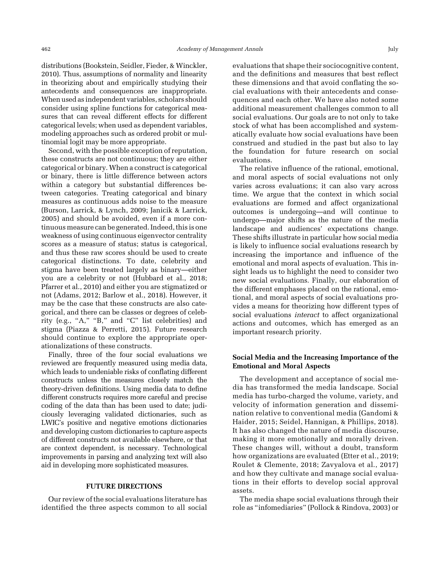distributions (Bookstein, Seidler, Fieder, & Winckler, 2010). Thus, assumptions of normality and linearity in theorizing about and empirically studying their antecedents and consequences are inappropriate. When used as independent variables, scholars should consider using spline functions for categorical measures that can reveal different effects for different categorical levels; when used as dependent variables, modeling approaches such as ordered probit or multinomial logit may be more appropriate.

Second, with the possible exception of reputation, these constructs are not continuous; they are either categorical or binary. When a construct is categorical or binary, there is little difference between actors within a category but substantial differences between categories. Treating categorical and binary measures as continuous adds noise to the measure (Burson, Larrick, & Lynch, 2009; Janicik & Larrick, 2005) and should be avoided, even if a more continuous measure can be generated. Indeed, this is one weakness of using continuous eigenvector centrality scores as a measure of status; status is categorical, and thus these raw scores should be used to create categorical distinctions. To date, celebrity and stigma have been treated largely as binary—either you are a celebrity or not (Hubbard et al., 2018; Pfarrer et al., 2010) and either you are stigmatized or not (Adams, 2012; Barlow et al., 2018). However, it may be the case that these constructs are also categorical, and there can be classes or degrees of celebrity (e.g., "A," "B," and "C" list celebrities) and stigma (Piazza & Perretti, 2015). Future research should continue to explore the appropriate operationalizations of these constructs.

Finally, three of the four social evaluations we reviewed are frequently measured using media data, which leads to undeniable risks of conflating different constructs unless the measures closely match the theory-driven definitions. Using media data to define different constructs requires more careful and precise coding of the data than has been used to date; judiciously leveraging validated dictionaries, such as LWIC's positive and negative emotions dictionaries and developing custom dictionaries to capture aspects of different constructs not available elsewhere, or that are context dependent, is necessary. Technological improvements in parsing and analyzing text will also aid in developing more sophisticated measures.

## FUTURE DIRECTIONS

Our review of the social evaluations literature has identified the three aspects common to all social

evaluations that shape their sociocognitive content, and the definitions and measures that best reflect these dimensions and that avoid conflating the social evaluations with their antecedents and consequences and each other. We have also noted some additional measurement challenges common to all social evaluations. Our goals are to not only to take stock of what has been accomplished and systematically evaluate how social evaluations have been construed and studied in the past but also to lay the foundation for future research on social evaluations.

The relative influence of the rational, emotional, and moral aspects of social evaluations not only varies across evaluations; it can also vary across time. We argue that the context in which social evaluations are formed and affect organizational outcomes is undergoing—and will continue to undergo—major shifts as the nature of the media landscape and audiences' expectations change. These shifts illustrate in particular how social media is likely to influence social evaluations research by increasing the importance and influence of the emotional and moral aspects of evaluation. This insight leads us to highlight the need to consider two new social evaluations. Finally, our elaboration of the different emphases placed on the rational, emotional, and moral aspects of social evaluations provides a means for theorizing how different types of social evaluations *interact* to affect organizational actions and outcomes, which has emerged as an important research priority.

## Social Media and the Increasing Importance of the Emotional and Moral Aspects

The development and acceptance of social media has transformed the media landscape. Social media has turbo-charged the volume, variety, and velocity of information generation and dissemination relative to conventional media (Gandomi & Haider, 2015; Seidel, Hannigan, & Phillips, 2018). It has also changed the nature of media discourse, making it more emotionally and morally driven. These changes will, without a doubt, transform how organizations are evaluated (Etter et al., 2019; Roulet & Clemente, 2018; Zavyalova et al., 2017) and how they cultivate and manage social evaluations in their efforts to develop social approval assets.

The media shape social evaluations through their role as "infomediaries" (Pollock & Rindova, 2003) or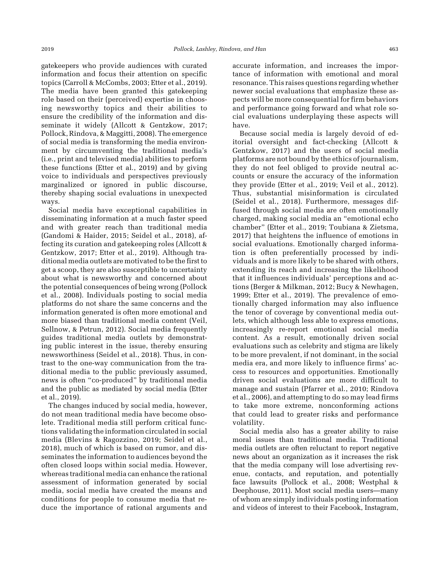The media have been granted this gatekeeping role based on their (perceived) expertise in choosing newsworthy topics and their abilities to ensure the credibility of the information and disseminate it widely (Allcott & Gentzkow, 2017; Pollock, Rindova, & Maggitti, 2008). The emergence of social media is transforming the media environment by circumventing the traditional media's (i.e., print and televised media) abilities to perform these functions (Etter et al., 2019) and by giving voice to individuals and perspectives previously marginalized or ignored in public discourse, thereby shaping social evaluations in unexpected ways.

Social media have exceptional capabilities in disseminating information at a much faster speed and with greater reach than traditional media (Gandomi & Haider, 2015; Seidel et al., 2018), affecting its curation and gatekeeping roles (Allcott & Gentzkow, 2017; Etter et al., 2019). Although traditional media outlets are motivated to be the first to get a scoop, they are also susceptible to uncertainty about what is newsworthy and concerned about the potential consequences of being wrong (Pollock et al., 2008). Individuals posting to social media platforms do not share the same concerns and the information generated is often more emotional and more biased than traditional media content (Veil, Sellnow, & Petrun, 2012). Social media frequently guides traditional media outlets by demonstrating public interest in the issue, thereby ensuring newsworthiness (Seidel et al., 2018). Thus, in contrast to the one-way communication from the traditional media to the public previously assumed, news is often "co-produced" by traditional media and the public as mediated by social media (Etter et al., 2019).

The changes induced by social media, however, do not mean traditional media have become obsolete. Traditional media still perform critical functions validating the information circulated in social media (Blevins & Ragozzino, 2019; Seidel et al., 2018), much of which is based on rumor, and disseminates the information to audiences beyond the often closed loops within social media. However, whereas traditional media can enhance the rational assessment of information generated by social media, social media have created the means and conditions for people to consume media that reduce the importance of rational arguments and

accurate information, and increases the importance of information with emotional and moral resonance. This raises questions regarding whether newer social evaluations that emphasize these aspects will be more consequential for firm behaviors and performance going forward and what role social evaluations underplaying these aspects will have.

Because social media is largely devoid of editorial oversight and fact-checking (Allcott & Gentzkow, 2017) and the users of social media platforms are not bound by the ethics of journalism, they do not feel obliged to provide neutral accounts or ensure the accuracy of the information they provide (Etter et al., 2019; Veil et al., 2012). Thus, substantial misinformation is circulated (Seidel et al., 2018). Furthermore, messages diffused through social media are often emotionally charged, making social media an "emotional echo chamber" (Etter et al., 2019; Toubiana & Zietsma, 2017) that heightens the influence of emotions in social evaluations. Emotionally charged information is often preferentially processed by individuals and is more likely to be shared with others, extending its reach and increasing the likelihood that it influences individuals' perceptions and actions (Berger & Milkman, 2012; Bucy & Newhagen, 1999; Etter et al., 2019). The prevalence of emotionally charged information may also influence the tenor of coverage by conventional media outlets, which although less able to express emotions, increasingly re-report emotional social media content. As a result, emotionally driven social evaluations such as celebrity and stigma are likely to be more prevalent, if not dominant, in the social media era, and more likely to influence firms' access to resources and opportunities. Emotionally driven social evaluations are more difficult to manage and sustain (Pfarrer et al., 2010; Rindova et al., 2006), and attempting to do so may lead firms to take more extreme, nonconforming actions that could lead to greater risks and performance volatility.

Social media also has a greater ability to raise moral issues than traditional media. Traditional media outlets are often reluctant to report negative news about an organization as it increases the risk that the media company will lose advertising revenue, contacts, and reputation, and potentially face lawsuits (Pollock et al., 2008; Westphal & Deephouse, 2011). Most social media users—many of whom are simply individuals posting information and videos of interest to their Facebook, Instagram,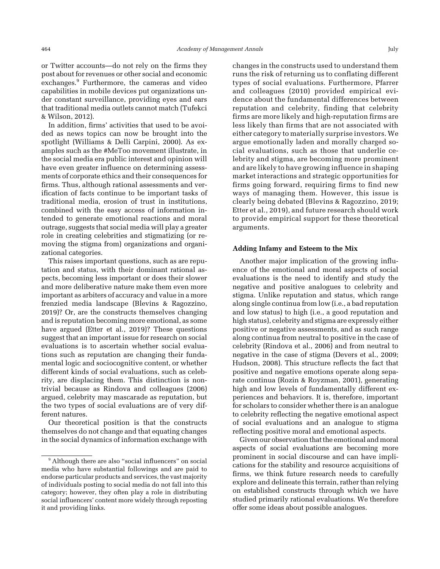or Twitter accounts—do not rely on the firms they post about for revenues or other social and economic exchanges.<sup>9</sup> Furthermore, the cameras and video capabilities in mobile devices put organizations under constant surveillance, providing eyes and ears that traditional media outlets cannot match (Tufekci & Wilson, 2012).

In addition, firms' activities that used to be avoided as news topics can now be brought into the spotlight (Williams & Delli Carpini, 2000). As examples such as the #MeToo movement illustrate, in the social media era public interest and opinion will have even greater influence on determining assessments of corporate ethics and their consequences for firms. Thus, although rational assessments and verification of facts continue to be important tasks of traditional media, erosion of trust in institutions, combined with the easy access of information intended to generate emotional reactions and moral outrage, suggests that social media will play a greater role in creating celebrities and stigmatizing (or removing the stigma from) organizations and organizational categories.

This raises important questions, such as are reputation and status, with their dominant rational aspects, becoming less important or does their slower and more deliberative nature make them even more important as arbiters of accuracy and value in a more frenzied media landscape (Blevins & Ragozzino, 2019)? Or, are the constructs themselves changing and is reputation becoming more emotional, as some have argued (Etter et al., 2019)? These questions suggest that an important issue for research on social evaluations is to ascertain whether social evaluations such as reputation are changing their fundamental logic and sociocognitive content, or whether different kinds of social evaluations, such as celebrity, are displacing them. This distinction is nontrivial because as Rindova and colleagues (2006) argued, celebrity may mascarade as reputation, but the two types of social evaluations are of very different natures.

Our theoretical position is that the constructs themselves do not change and that equating changes in the social dynamics of information exchange with

changes in the constructs used to understand them runs the risk of returning us to conflating different types of social evaluations. Furthermore, Pfarrer and colleagues (2010) provided empirical evidence about the fundamental differences between reputation and celebrity, finding that celebrity firms are more likely and high-reputation firms are less likely than firms that are not associated with either category to materially surprise investors.We argue emotionally laden and morally charged social evaluations, such as those that underlie celebrity and stigma, are becoming more prominent and are likely to have growing influence in shaping market interactions and strategic opportunities for firms going forward, requiring firms to find new ways of managing them. However, this issue is clearly being debated (Blevins & Ragozzino, 2019; Etter et al., 2019), and future research should work to provide empirical support for these theoretical arguments.

#### Adding Infamy and Esteem to the Mix

Another major implication of the growing influence of the emotional and moral aspects of social evaluations is the need to identify and study the negative and positive analogues to celebrity and stigma. Unlike reputation and status, which range along single continua from low (i.e., a bad reputation and low status) to high (i.e., a good reputation and high status), celebrity and stigma are expressly either positive or negative assessments, and as such range along continua from neutral to positive in the case of celebrity (Rindova et al., 2006) and from neutral to negative in the case of stigma (Devers et al., 2009; Hudson, 2008). This structure reflects the fact that positive and negative emotions operate along separate continua (Rozin & Royzman, 2001), generating high and low levels of fundamentally different experiences and behaviors. It is, therefore, important for scholars to consider whether there is an analogue to celebrity reflecting the negative emotional aspect of social evaluations and an analogue to stigma reflecting positive moral and emotional aspects.

Given our observation that the emotional and moral aspects of social evaluations are becoming more prominent in social discourse and can have implications for the stability and resource acquisitions of firms, we think future research needs to carefully explore and delineate this terrain, rather than relying on established constructs through which we have studied primarily rational evaluations. We therefore offer some ideas about possible analogues.

<sup>&</sup>lt;sup>9</sup> Although there are also "social influencers" on social media who have substantial followings and are paid to endorse particular products and services, the vast majority of individuals posting to social media do not fall into this category; however, they often play a role in distributing social influencers' content more widely through reposting it and providing links.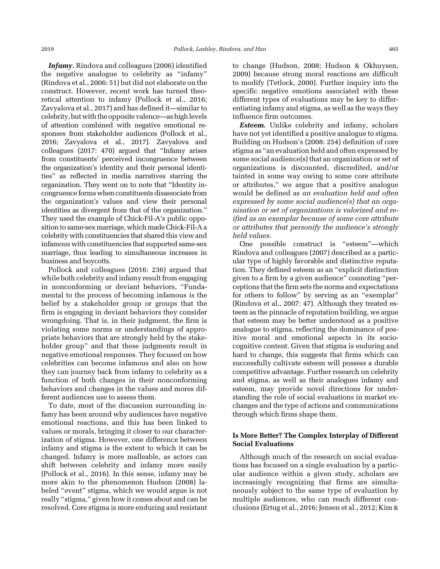Infamy. Rindova and colleagues (2006) identified the negative analogue to celebrity as "infamy" (Rindova et al., 2006: 51) but did not elaborate on the construct. However, recent work has turned theoretical attention to infamy (Pollock et al., 2016; Zavyalova et al., 2017) and has defined it—similar to celebrity, butwith the opposite valence—as high levels of attention combined with negative emotional responses from stakeholder audiences (Pollock et al., 2016; Zavyalova et al., 2017). Zavyalova and colleagues (2017: 470) argued that "Infamy arises from constituents' perceived incongruence between the organization's identity and their personal identities" as reflected in media narratives starring the organization. They went on to note that "Identity incongruence forms when constituents disassociate from the organization's values and view their personal identities as divergent from that of the organization." They used the example of Chick-Fil-A's public opposition to same-sex marriage, which made Chick-Fil-A a celebrity with constituencies that shared this view and infamous with constituencies that supported same-sex marriage, thus leading to simultaneous increases in business and boycotts.

Pollock and colleagues (2016: 236) argued that while both celebrity and infamy result from engaging in nonconforming or deviant behaviors, "Fundamental to the process of becoming infamous is the belief by a stakeholder group or groups that the firm is engaging in deviant behaviors they consider wrongdoing. That is, in their judgment, the firm is violating some norms or understandings of appropriate behaviors that are strongly held by the stakeholder group" and that these judgments result in negative emotional responses. They focused on how celebrities can become infamous and also on how they can journey back from infamy to celebrity as a function of both changes in their nonconforming behaviors and changes in the values and mores different audiences use to assess them.

To date, most of the discussion surrounding infamy has been around why audiences have negative emotional reactions, and this has been linked to values or morals, bringing it closer to our characterization of stigma. However, one difference between infamy and stigma is the extent to which it can be changed. Infamy is more malleable, as actors can shift between celebrity and infamy more easily (Pollock et al., 2016). In this sense, infamy may be more akin to the phenomenon Hudson (2008) labeled "event" stigma, which we would argue is not really "stigma," given how it comes about and can be resolved. Core stigma is more enduring and resistant

to change (Hudson, 2008; Hudson & Okhuysen, 2009) because strong moral reactions are difficult to modify (Tetlock, 2000). Further inquiry into the specific negative emotions associated with these different types of evaluations may be key to differentiating infamy and stigma, as well as the ways they influence firm outcomes.

**Esteem.** Unlike celebrity and infamy, scholars have not yet identified a positive analogue to stigma. Building on Hudson's (2008: 254) definition of core stigma as "an evaluation held and often expressed by some social audience(s) that an organization or set of organizations is discounted, discredited, and/or tainted in some way owing to some core attribute or attributes," we argue that a positive analogue would be defined as an evaluation held and often expressed by some social audience(s) that an organization or set of organizations is valorized and reified as an exemplar because of some core attribute or attributes that personify the audience's strongly held values.

One possible construct is "esteem"—which Rindova and colleagues (2007) described as a particular type of highly favorable and distinctive reputation. They defined esteem as an "explicit distinction given to a firm by a given audience" connoting "perceptions that the firm sets the norms and expectations for others to follow" by serving as an "exemplar" (Rindova et al., 2007: 47). Although they treated esteem as the pinnacle of reputation building, we argue that esteem may be better understood as a positive analogue to stigma, reflecting the dominance of positive moral and emotional aspects in its sociocognitive content. Given that stigma is enduring and hard to change, this suggests that firms which can successfully cultivate esteem will possess a durable competitive advantage. Further research on celebrity and stigma, as well as their analogues infamy and esteem, may provide novel directions for understanding the role of social evaluations in market exchanges and the type of actions and communications through which firms shape them.

#### Is More Better? The Complex Interplay of Different Social Evaluations

Although much of the research on social evaluations has focused on a single evaluation by a particular audience within a given study, scholars are increasingly recognizing that firms are simultaneously subject to the same type of evaluation by multiple audiences, who can reach different conclusions (Ertug et al., 2016; Jensen et al., 2012; Kim &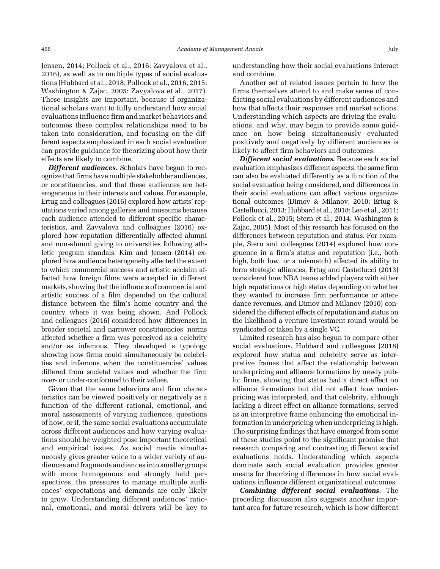Jensen, 2014; Pollock et al., 2016; Zavyalova et al., 2016), as well as to multiple types of social evaluations (Hubbard et al., 2018; Pollock et al., 2016, 2015; Washington & Zajac, 2005; Zavyalova et al., 2017). These insights are important, because if organizational scholars want to fully understand how social evaluations influence firm and market behaviors and outcomes these complex relationships need to be taken into consideration, and focusing on the different aspects emphasized in each social evaluation can provide guidance for theorizing about how their effects are likely to combine.

**Different audiences.** Scholars have begun to recognize that firms have multiple stakeholder audiences, or constituencies, and that these audiences are heterogeneous in their interests and values. For example, Ertug and colleagues (2016) explored how artists' reputations varied among galleries and museums because each audience attended to different specific characteristics, and Zavyalova and colleagues (2016) explored how reputation differentially affected alumni and non-alumni giving to universities following athletic program scandals. Kim and Jensen (2014) explored how audience heterogeneity affected the extent to which commercial success and artistic acclaim affected how foreign films were accepted in different markets, showing that the influence of commercial and artistic success of a film depended on the cultural distance between the film's home country and the country where it was being shown. And Pollock and colleagues (2016) considered how differences in broader societal and narrower constituencies' norms affected whether a firm was perceived as a celebrity and/or as infamous. They developed a typology showing how firms could simultaneously be celebrities and infamous when the constituencies' values differed from societal values and whether the firm over- or under-conformed to their values.

Given that the same behaviors and firm characteristics can be viewed positively or negatively as a function of the different rational, emotional, and moral assessments of varying audiences, questions of how, or if, the same social evaluations accumulate across different audiences and how varying evaluations should be weighted pose important theoretical and empirical issues. As social media simultaneously gives greater voice to a wider variety of audiences and fragments audiences into smaller groups with more homogenous and strongly held perspectives, the pressures to manage multiple audiences' expectations and demands are only likely to grow. Understanding different audiences' rational, emotional, and moral drivers will be key to understanding how their social evaluations interact and combine.

Another set of related issues pertain to how the firms themselves attend to and make sense of conflicting social evaluations by different audiences and how that affects their responses and market actions. Understanding which aspects are driving the evaluations, and why, may begin to provide some guidance on how being simultaneously evaluated positively and negatively by different audiences is likely to affect firm behaviors and outcomes.

Different social evaluations. Because each social evaluation emphasizes different aspects, the same firm can also be evaluated differently as a function of the social evaluation being considered, and differences in their social evaluations can affect various organizational outcomes (Dimov & Milanov, 2010; Ertug & Castellucci, 2013; Hubbard et al., 2018; Lee et al., 2011; Pollock et al., 2015; Stern et al., 2014; Washington & Zajac, 2005). Most of this research has focused on the differences between reputation and status. For example, Stern and colleagues (2014) explored how congruence in a firm's status and reputation (i.e., both high, both low, or a mismatch) affected its ability to form strategic alliances, Ertug and Castellucci (2013) considered how NBA teams added players with either high reputations or high status depending on whether they wanted to increase firm performance or attendance revenues, and Dimov and Milanov (2010) considered the different effects of reputation and status on the likelihood a venture investment round would be syndicated or taken by a single VC.

Limited research has also begun to compare other social evaluations. Hubbard and colleagues (2018) explored how status and celebrity serve as interpretive frames that affect the relationship between underpricing and alliance formations by newly public firms, showing that status had a direct effect on alliance formations but did not affect how underpricing was interpreted, and that celebrity, although lacking a direct effect on alliance formations, served as an interpretive frame enhancing the emotional information in underpricing when underpricing is high. The surprising findings that have emerged from some of these studies point to the significant promise that research comparing and contrasting different social evaluations holds. Understanding which aspects dominate each social evaluation provides greater means for theorizing differences in how social evaluations influence different organizational outcomes.

Combining different social evaluations. The preceding discussion also suggests another important area for future research, which is how different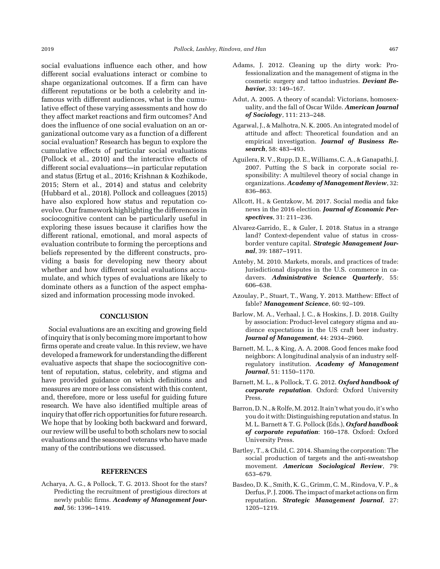social evaluations influence each other, and how different social evaluations interact or combine to shape organizational outcomes. If a firm can have different reputations or be both a celebrity and infamous with different audiences, what is the cumulative effect of these varying assessments and how do they affect market reactions and firm outcomes? And does the influence of one social evaluation on an organizational outcome vary as a function of a different social evaluation? Research has begun to explore the cumulative effects of particular social evaluations (Pollock et al., 2010) and the interactive effects of different social evaluations—in particular reputation and status (Ertug et al., 2016; Krishnan & Kozhikode, 2015; Stern et al., 2014) and status and celebrity (Hubbard et al., 2018). Pollock and colleagues (2015) have also explored how status and reputation coevolve. Our framework highlighting the differences in sociocognitive content can be particularly useful in exploring these issues because it clarifies how the different rational, emotional, and moral aspects of evaluation contribute to forming the perceptions and beliefs represented by the different constructs, providing a basis for developing new theory about whether and how different social evaluations accumulate, and which types of evaluations are likely to dominate others as a function of the aspect emphasized and information processing mode invoked.

#### **CONCLUSION**

Social evaluations are an exciting and growing field of inquiry that is only becomingmore important to how firms operate and create value. In this review, we have developed a framework for understanding the different evaluative aspects that shape the sociocognitive content of reputation, status, celebrity, and stigma and have provided guidance on which definitions and measures are more or less consistent with this content, and, therefore, more or less useful for guiding future research. We have also identified multiple areas of inquiry that offer rich opportunities for future research. We hope that by looking both backward and forward, our review will be useful to both scholars new to social evaluations and the seasoned veterans who have made many of the contributions we discussed.

#### REFERENCES

Acharya, A. G., & Pollock, T. G. 2013. Shoot for the stars? Predicting the recruitment of prestigious directors at newly public firms. Academy of Management Journal, 56: 1396-1419.

- Adams, J. 2012. Cleaning up the dirty work: Professionalization and the management of stigma in the cosmetic surgery and tattoo industries. Deviant Behavior, 33: 149–167.
- Adut, A. 2005. A theory of scandal: Victorians, homosexuality, and the fall of Oscar Wilde. American Journal of Sociology, 111: 213–248.
- Agarwal, J., & Malhotra, N. K. 2005. An integrated model of attitude and affect: Theoretical foundation and an empirical investigation. Journal of Business Research, 58: 483–493.
- Aguilera, R. V., Rupp, D. E., Williams, C. A., & Ganapathi, J. 2007. Putting the S back in corporate social responsibility: A multilevel theory of social change in organizations. Academy of Management Review, 32: 836–863.
- Allcott, H., & Gentzkow, M. 2017. Social media and fake news in the 2016 election. Journal of Economic Perspectives, 31: 211–236.
- Alvarez-Garrido, E., & Guler, I. 2018. Status in a strange land? Context-dependent value of status in crossborder venture capital. Strategic Management Journal, 39: 1887–1911.
- Anteby, M. 2010. Markets, morals, and practices of trade: Jurisdictional disputes in the U.S. commerce in cadavers. Administrative Science Quarterly, 55: 606–638.
- Azoulay, P., Stuart, T., Wang, Y. 2013. Matthew: Effect of fable? Management Science, 60: 92-109.
- Barlow, M. A., Verhaal, J. C., & Hoskins, J. D. 2018. Guilty by association: Product-level category stigma and audience expectations in the US craft beer industry. Journal of Management, 44: 2934–2960.
- Barnett, M. L., & King, A. A. 2008. Good fences make food neighbors: A longitudinal analysis of an industry selfregulatory institution. Academy of Management Journal, 51: 1150–1170.
- Barnett, M. L., & Pollock, T. G. 2012. Oxford handbook of corporate reputation. Oxford: Oxford University Press.
- Barron, D. N., & Rolfe, M. 2012. It ain't what you do, it's who you do it with: Distinguishing reputation and status. In M. L. Barnett & T. G. Pollock (Eds.), Oxford handbook of corporate reputation: 160–178. Oxford: Oxford University Press.
- Bartley, T., & Child, C. 2014. Shaming the corporation: The social production of targets and the anti-sweatshop movement. American Sociological Review, 79: 653–679.
- Basdeo, D. K., Smith, K. G., Grimm, C. M., Rindova, V. P., & Derfus, P. J. 2006. The impact of market actions on firm reputation. Strategic Management Journal, 27: 1205–1219.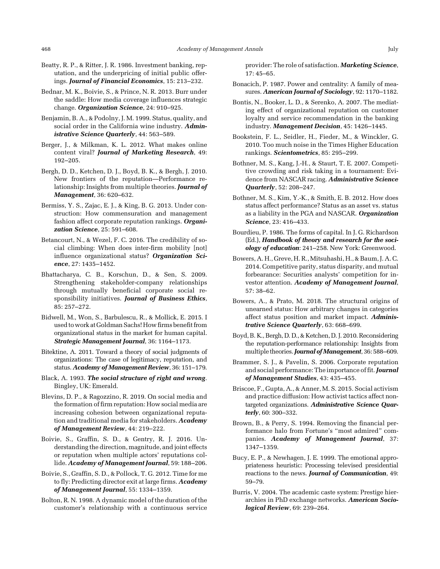- Beatty, R. P., & Ritter, J. R. 1986. Investment banking, reputation, and the underpricing of initial public offerings. Journal of Financial Economics, 15: 213–232.
- Bednar, M. K., Boivie, S., & Prince, N. R. 2013. Burr under the saddle: How media coverage influences strategic change. Organization Science, 24: 910-925.
- Benjamin, B. A., & Podolny, J. M. 1999. Status, quality, and social order in the California wine industry. Administrative Science Quarterly, 44: 563–589.
- Berger, J., & Milkman, K. L. 2012. What makes online content viral? Journal of Marketing Research, 49: 192–205.
- Bergh, D. D., Ketchen, D. J., Boyd, B. K., & Bergh, J. 2010. New frontiers of the reputation—Performance relationship: Insights from multiple theories. Journal of Management, 36: 620–632.
- Bermiss, Y. S., Zajac, E. J., & King, B. G. 2013. Under construction: How commensuration and management fashion affect corporate reputation rankings. Organization Science, 25: 591–608.
- Betancourt, N., & Wezel, F. C. 2016. The credibility of social climbing: When does inter-firm mobility [not] influence organizational status? Organization Science, 27: 1435–1452.
- Bhattacharya, C. B., Korschun, D., & Sen, S. 2009. Strengthening stakeholder-company relationships through mutually beneficial corporate social responsibility initiatives. Journal of Business Ethics, 85: 257–272.
- Bidwell, M., Won, S., Barbulescu, R., & Mollick, E. 2015. I used to work at Goldman Sachs! How firms benefit from organizational status in the market for human capital. Strategic Management Journal, 36: 1164–1173.
- Bitektine, A. 2011. Toward a theory of social judgments of organizations: The case of legitimacy, reputation, and status. Academy of Management Review, 36: 151-179.
- Black, A. 1993. The social structure of right and wrong. Bingley, UK: Emerald.
- Blevins, D. P., & Ragozzino, R. 2019. On social media and the formation of firm reputation: How social media are increasing cohesion between organizational reputation and traditional media for stakeholders. Academy of Management Review, 44: 219–222.
- Boivie, S., Graffin, S. D., & Gentry, R. J. 2016. Understanding the direction, magnitude, and joint effects or reputation when multiple actors' reputations collide. Academy of Management Journal, 59: 188-206.
- Boivie, S., Graffin, S. D., & Pollock, T. G. 2012. Time for me to fly: Predicting director exit at large firms. Academy of Management Journal, 55: 1334–1359.
- Bolton, R. N. 1998. A dynamic model of the duration of the customer's relationship with a continuous service

provider: The role of satisfaction. Marketing Science, 17: 45–65.

- Bonacich, P. 1987. Power and centrality: A family of measures. American Journal of Sociology, 92: 1170–1182.
- Bontis, N., Booker, L. D., & Serenko, A. 2007. The mediating effect of organizational reputation on customer loyalty and service recommendation in the banking industry. Management Decision, 45: 1426–1445.
- Bookstein, F. L., Seidler, H., Fieder, M., & Winckler, G. 2010. Too much noise in the Times Higher Education rankings. Scientometrics, 85: 295–299.
- Bothner, M. S., Kang, J.-H., & Staurt, T. E. 2007. Competitive crowding and risk taking in a tournament: Evidence from NASCAR racing. Administrative Science Quarterly, 52: 208–247.
- Bothner, M. S., Kim, Y.-K., & Smith, E. B. 2012. How does status affect performance? Status as an asset vs. status as a liability in the PGA and NASCAR. Organization Science, 23: 416–433.
- Bourdieu, P. 1986. The forms of capital. In J. G. Richardson (Ed.), Handbook of theory and research for the sociology of education: 241–258. New York: Greenwood.
- Bowers, A. H., Greve, H. R., Mitsuhashi, H., & Baum, J. A. C. 2014. Competitive parity, status disparity, and mutual forbearance: Securities analysts' competition for investor attention. Academy of Management Journal, 57: 38–62.
- Bowers, A., & Prato, M. 2018. The structural origins of unearned status: How arbitrary changes in categories affect status position and market impact. Administrative Science Quarterly, 63: 668–699.
- Boyd, B. K., Bergh, D. D., & Ketchen, D. J. 2010. Reconsidering the reputation-performance relationship: Insights from multiple theories. Journal of Management, 36: 588-609.
- Brammer, S. J., & Pavelin, S. 2006. Corporate reputation and social performance: The importance of fit. Journal of Management Studies, 43: 435–455.
- Briscoe, F., Gupta, A., & Anner, M. S. 2015. Social activism and practice diffusion: How activist tactics affect nontargeted organizations. Administrative Science Quarterly, 60: 300–332.
- Brown, B., & Perry, S. 1994. Removing the financial performance halo from Fortune's "most admired" companies. Academy of Management Journal, 37: 1347–1359.
- Bucy, E. P., & Newhagen, J. E. 1999. The emotional appropriateness heuristic: Processing televised presidential reactions to the news. Journal of Communication, 49: 59–79.
- Burris, V. 2004. The academic caste system: Prestige hierarchies in PhD exchange networks. American Sociological Review, 69: 239–264.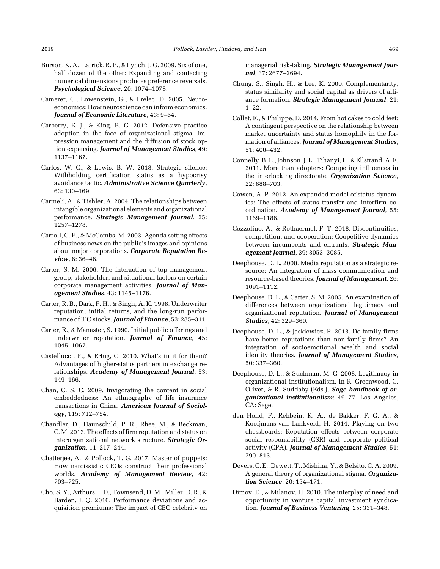- Burson, K. A., Larrick, R. P., & Lynch, J. G. 2009. Six of one, half dozen of the other: Expanding and contacting numerical dimensions produces preference reversals. Psychological Science, 20: 1074–1078.
- Camerer, C., Lowenstein, G., & Prelec, D. 2005. Neuroeconomics: How neuroscience can inform economics. Journal of Economic Literature, 43: 9–64.
- Carberry, E. J., & King, B. G. 2012. Defensive practice adoption in the face of organizational stigma: Impression management and the diffusion of stock option expensing. Journal of Management Studies, 49: 1137–1167.
- Carlos, W. C., & Lewis, B. W. 2018. Strategic silence: Withholding certification status as a hypocrisy avoidance tactic. Administrative Science Quarterly, 63: 130–169.
- Carmeli, A., & Tishler, A. 2004. The relationships between intangible organizational elements and organizational performance. Strategic Management Journal, 25: 1257–1278.
- Carroll, C. E., & McCombs, M. 2003. Agenda setting effects of business news on the public's images and opinions about major corporations. Corporate Reputation Review, 6: 36–46.
- Carter, S. M. 2006. The interaction of top management group, stakeholder, and situational factors on certain corporate management activities. Journal of Management Studies, 43: 1145–1176.
- Carter, R. B., Dark, F. H., & Singh, A. K. 1998. Underwriter reputation, initial returns, and the long-run performance of IPO stocks. Journal of Finance, 53: 285-311.
- Carter, R., & Manaster, S. 1990. Initial public offerings and underwriter reputation. Journal of Finance, 45: 1045–1067.
- Castellucci, F., & Ertug, C. 2010. What's in it for them? Advantages of higher-status partners in exchange relationships. Academy of Management Journal, 53: 149–166.
- Chan, C. S. C. 2009. Invigorating the content in social embeddedness: An ethnography of life insurance transactions in China. American Journal of Sociology, 115: 712–754.
- Chandler, D., Haunschild, P. R., Rhee, M., & Beckman, C. M. 2013. The effects of firm reputation and status on interorganizational network structure. Strategic Organization, 11: 217–244.
- Chatterjee, A., & Pollock, T. G. 2017. Master of puppets: How narcissistic CEOs construct their professional worlds. Academy of Management Review, 42: 703–725.
- Cho, S. Y., Arthurs, J. D., Townsend, D. M., Miller, D. R., & Barden, J. Q. 2016. Performance deviations and acquisition premiums: The impact of CEO celebrity on

managerial risk-taking. Strategic Management Journal, 37: 2677–2694.

- Chung, S., Singh, H., & Lee, K. 2000. Complementarity, status similarity and social capital as drivers of alliance formation. Strategic Management Journal, 21: 1–22.
- Collet, F., & Philippe, D. 2014. From hot cakes to cold feet: A contingent perspective on the relationship between market uncertainty and status homophily in the formation of alliances. Journal of Management Studies, 51: 406–432.
- Connelly, B. L., Johnson, J. L., Tihanyi, L., & Ellstrand, A. E. 2011. More than adopters: Competing influences in the interlocking directorate. Organization Science, 22: 688–703.
- Cowen, A. P. 2012. An expanded model of status dynamics: The effects of status transfer and interfirm coordination. Academy of Management Journal, 55: 1169–1186.
- Cozzolino, A., & Rothaermel, F. T. 2018. Discontinuities, competition, and cooperation: Coopetitive dynamics between incumbents and entrants. Strategic Management Journal, 39: 3053–3085.
- Deephouse, D. L. 2000. Media reputation as a strategic resource: An integration of mass communication and resource-based theories. Journal of Management, 26: 1091–1112.
- Deephouse, D. L., & Carter, S. M. 2005. An examination of differences between organizational legitimacy and organizational reputation. Journal of Management Studies, 42: 329–360.
- Deephouse, D. L., & Jaskiewicz, P. 2013. Do family firms have better reputations than non-family firms? An integration of socioemotional wealth and social identity theories. Journal of Management Studies, 50: 337–360.
- Deephouse, D. L., & Suchman, M. C. 2008. Legitimacy in organizational institutionalism. In R. Greenwood, C. Oliver, & R. Suddaby (Eds.), Sage handbook of organizational institutionalism: 49–77. Los Angeles, CA: Sage.
- den Hond, F., Rehbein, K. A., de Bakker, F. G. A., & Kooijmans-van Lankveld, H. 2014. Playing on two chessboards: Reputation effects between corporate social responsibility (CSR) and corporate political activity (CPA). Journal of Management Studies, 51: 790–813.
- Devers, C. E., Dewett, T., Mishina, Y., & Belsito, C. A. 2009. A general theory of organizational stigma. Organization Science, 20: 154–171.
- Dimov, D., & Milanov, H. 2010. The interplay of need and opportunity in venture capital investment syndication. Journal of Business Venturing, 25: 331–348.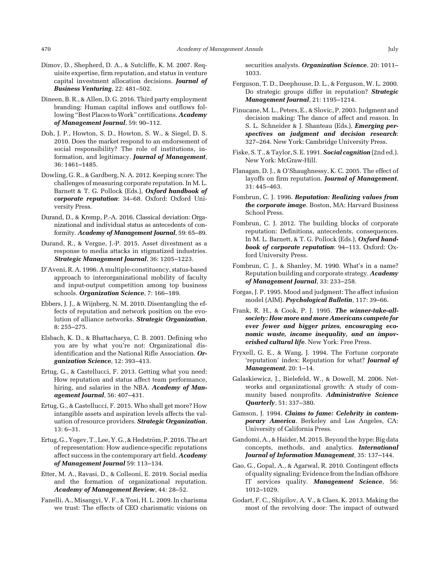- Dimov, D., Shepherd, D. A., & Sutcliffe, K. M. 2007. Requisite expertise, firm reputation, and status in venture capital investment allocation decisions. Journal of Business Venturing, 22: 481–502.
- Dineen, B. R., & Allen, D. G. 2016. Third party employment branding: Human capital inflows and outflows following "Best Places to Work" certifications. Academy of Management Journal, 59: 90–112.
- Doh, J. P., Howton, S. D., Howton, S. W., & Siegel, D. S. 2010. Does the market respond to an endorsement of social responsibility? The role of institutions, information, and legitimacy. Journal of Management, 36: 1461–1485.
- Dowling, G. R., & Gardberg, N. A. 2012. Keeping score: The challenges of measuring corporate reputation. In M. L. Barnett & T. G. Pollock (Eds.), Oxford handbook of corporate reputation: 34–68. Oxford: Oxford University Press.
- Durand, D., & Kremp, P.-A. 2016. Classical deviation: Organizational and individual status as antecedents of conformity. Academy of Management Journal, 59: 65–89.
- Durand, R., & Vergne, J.-P. 2015. Asset divestment as a response to media attacks in stigmatized industries. Strategic Management Journal, 36: 1205–1223.
- D'Aveni, R. A. 1996. A multiple-constituency, status-based approach to interorganizational mobility of faculty and input-output competition among top business schools. Organization Science, 7: 166-189.
- Ebbers, J. J., & Wijnberg, N. M. 2010. Disentangling the effects of reputation and network position on the evolution of alliance networks. Strategic Organization, 8: 255–275.
- Elsbach, K. D., & Bhattacharya, C. B. 2001. Defining who you are by what you're not: Organizational disidentification and the National Rifle Association. Organization Science, 12: 393–413.
- Ertug, G., & Castellucci, F. 2013. Getting what you need: How reputation and status affect team performance, hiring, and salaries in the NBA. Academy of Management Journal, 56: 407–431.
- Ertug, G., & Castellucci, F. 2015. Who shall get more? How intangible assets and aspiration levels affects the valuation of resource providers. Strategic Organization, 13: 6–31.
- Ertug, G., Yogev, T., Lee, Y. G., & Hedström, P. 2016. The art of representation: How audience-specific reputations affect success in the contemporary art field. Academy of Management Journal 59: 113–134.
- Etter, M. A., Ravasi, D., & Colleoni, E. 2019. Social media and the formation of organizational reputation. Academy of Management Review, 44: 28–52.
- Fanelli, A., Misangyi, V. F., & Tosi, H. L. 2009. In charisma we trust: The effects of CEO charismatic visions on

securities analysts. Organization Science, 20: 1011-1033.

- Ferguson, T. D., Deephouse, D. L., & Ferguson, W. L. 2000. Do strategic groups differ in reputation? Strategic Management Journal, 21: 1195–1214.
- Finucane, M. L., Peters, E., & Slovic, P. 2003. Judgment and decision making: The dance of affect and reason. In S. L. Schneider & J. Shanteau (Eds.), Emerging perspectives on judgment and decision research: 327–264. New York: Cambridge University Press.
- Fiske, S. T., & Taylor, S. E. 1991. Social cognition (2nd ed.). New York: McGraw-Hill.
- Flanagan, D. J., & O'Shaughnessy, K. C. 2005. The effect of layoffs on firm reputation. Journal of Management, 31: 445–463.
- Fombrun, C. J. 1996. Reputation: Realizing values from the corporate image. Boston, MA: Harvard Business School Press.
- Fombrun, C. J. 2012. The building blocks of corporate reputation: Definitions, antecedents, consequences. In M. L. Barnett, & T. G. Pollock (Eds.), Oxford handbook of corporate reputation: 94–113. Oxford: Oxford University Press.
- Fombrun, C. J., & Shanley, M. 1990. What's in a name? Reputation building and corporate strategy. Academy of Management Journal, 33: 233–258.
- Forgas, J. P. 1995. Mood and judgment: The affect infusion model (AIM). Psychological Bulletin, 117: 39–66.
- Frank, R. H., & Cook, P. J. 1995. The winner-take-allsociety: How more and more Americans compete for ever fewer and bigger prizes, encouraging economic waste, income inequality, and an impoverished cultural life. New York: Free Press.
- Fryxell, G. E., & Wang, J. 1994. The Fortune corporate 'reputation' index: Reputation for what? Journal of Management, 20: 1–14.
- Galaskiewicz, J., Bielefeld, W., & Dowell, M. 2006. Networks and organizational growth: A study of community based nonprofits. Administrative Science Quarterly, 51: 337–380.
- Gamson, J. 1994. Claims to fame: Celebrity in contemporary America. Berkeley and Los Angeles, CA: University of California Press.
- Gandomi, A., & Haider, M. 2015. Beyond the hype: Big data concepts, methods, and analytics. International Journal of Information Management, 35: 137–144.
- Gao, G., Gopal, A., & Agarwal, R. 2010. Contingent effects of quality signaling: Evidence from the Indian offshore IT services quality. Management Science, 56: 1012–1029.
- Godart, F. C., Shipilov, A. V., & Claes, K. 2013. Making the most of the revolving door: The impact of outward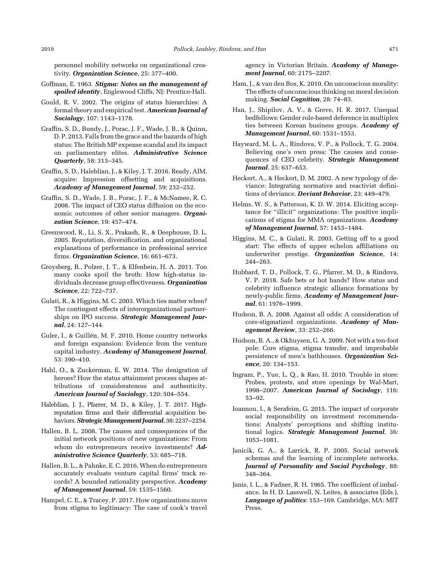personnel mobility networks on organizational creativity. Organization Science, 25: 377-400.

- Goffman, E. 1963. Stigma: Notes on the management of spoiled identity, Englewood Cliffs, NJ: Prentice-Hall.
- Gould, R. V. 2002. The origins of status hierarchies: A formal theory and empirical test. American Journal of Sociology, 107: 1143–1178.
- Graffin, S. D., Bundy, J., Porac, J. F., Wade, J. B., & Quinn, D. P. 2013. Falls from the grace and the hazards of high status: The British MP expense scandal and its impact on parliamentary elites. Administrative Science Quarterly, 58: 313–345.
- Graffin, S. D., Haleblian, J., & Kiley, J. T. 2016. Ready, AIM, acquire: Impression offsetting and acquisitions. Academy of Management Journal, 59: 232–252.
- Graffin, S. D., Wade, J. B., Porac, J. F., & McNamee, R. C. 2008. The impact of CEO status diffusion on the economic outcomes of other senior managers. Organization Science, 19: 457–474.
- Greenwood, R., Li, S. X., Prakash, R., & Deephouse, D. L. 2005. Reputation, diversification, and organizational explanations of performance in professional service firms. Organization Science, 16: 661-673.
- Groysberg, B., Polzer, J. T., & Elfenbein, H. A. 2011. Too many cooks spoil the broth: How high-status individuals decrease group effectiveness. Organization Science, 22: 722–737.
- Gulati, R., & Higgins, M. C. 2003. Which ties matter when? The contingent effects of interorganizational partnerships on IPO success. Strategic Management Journal, 24: 127–144.
- Guler, I., & Guillén, M. F. 2010. Home country networks and foreign expansion: Evidence from the venture capital industry. Academy of Management Journal, 53: 390–410.
- Hahl, O., & Zuckerman, E. W. 2014. The denigration of heroes? How the status attainment process shapes attributions of considerateness and authenticity. American Journal of Sociology, 120: 504–554.
- Haleblian, J. J., Pfarrer, M. D., & Kiley, J. T. 2017. Highreputation firms and their differential acquisition behaviors. Strategic Management Journal, 38: 2237–2254.
- Hallen, B. L. 2008. The causes and consequences of the initial network positions of new organizations: From whom do entrepreneurs receive investments? Administrative Science Quarterly, 53: 685-718.
- Hallen, B. L., & Pahnke, E. C. 2016. When do entrepreneurs accurately evaluate venture capital firms' track records? A bounded rationality perspective. Academy of Management Journal, 59: 1535–1560.
- Hampel, C. E., & Tracey, P. 2017. How organizations move from stigma to legitimacy: The case of cook's travel

agency in Victorian Britain. Academy of Management Journal, 60: 2175–2207.

- Ham, J., & van den Bos, K. 2010. On unconscious morality: The effects of unconscious thinking on moral decision making. Social Cognition, 28: 74–83.
- Han, J., Shipilov, A. V., & Greve, H. R. 2017. Unequal bedfellows: Gender role-based deference in multiplex ties between Korean business groups. Academy of Management Journal, 60: 1531–1553.
- Hayward, M. L. A., Rindova, V. P., & Pollock, T. G. 2004. Believing one's own press: The causes and consequences of CEO celebrity. Strategic Management Journal, 25: 637–653.
- Heckert, A., & Heckert, D. M. 2002. A new typology of deviance: Integrating normative and reactivist definitions of deviance. Deviant Behavior, 23: 449-479.
- Helms, W. S., & Patterson, K. D. W. 2014. Eliciting acceptance for "illicit" organizations: The positive implications of stigma for MMA organizations. Academy of Management Journal, 57: 1453–1484.
- Higgins, M. C., & Gulati, R. 2003. Getting off to a good start: The effects of upper echelon affiliations on underwriter prestige. Organization Science, 14: 244–263.
- Hubbard, T. D., Pollock, T. G., Pfarrer, M. D., & Rindova, V. P. 2018. Safe bets or hot hands? How status and celebrity influence strategic alliance formations by newly-public firms. Academy of Management Journal, 61: 1976–1999.
- Hudson, B. A. 2008. Against all odds: A consideration of core-stigmatized organizations. Academy of Management Review, 33: 252–266.
- Hudson, B. A., & Okhuysen, G. A. 2009. Not with a ten-foot pole: Core stigma, stigma transfer, and improbable persistence of men's bathhouses. Organization Science, 20: 134–153.
- Ingram, P., Yue, L. Q., & Rao, H. 2010. Trouble in store: Probes, protests, and store openings by Wal-Mart, 1998–2007. American Journal of Sociology, 116: 53–92.
- Ioannou, I., & Serafeim, G. 2015. The impact of corporate social responsibility on investment recommendations: Analysts' perceptions and shifting institutional logics. Strategic Management Journal, 36: 1053–1081.
- Janicik, G. A., & Larrick, R. P. 2005. Social network schemas and the learning of incomplete networks. Journal of Personality and Social Psychology, 88: 348–364.
- Janis, I. L., & Fadner, R. H. 1965. The coefficient of imbalance. In H. D. Lasswell, N. Leites, & associates (Eds.), Language of politics: 153–169. Cambridge, MA: MIT Press.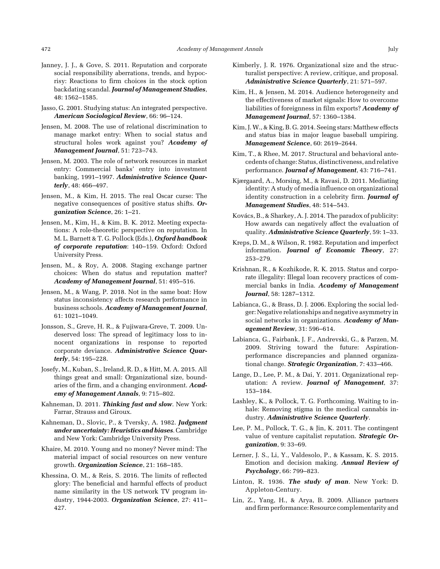- Janney, J. J., & Gove, S. 2011. Reputation and corporate social responsibility aberrations, trends, and hypocrisy: Reactions to firm choices in the stock option backdating scandal. Journal of Management Studies, 48: 1562–1585.
- Jasso, G. 2001. Studying status: An integrated perspective. American Sociological Review, 66: 96–124.
- Jensen, M. 2008. The use of relational discrimination to manage market entry: When to social status and structural holes work against you? Academy of Management Journal, 51: 723–743.
- Jensen, M. 2003. The role of network resources in market entry: Commercial banks' entry into investment banking, 1991-1997. Administrative Science Quarterly, 48: 466–497.
- Jensen, M., & Kim, H. 2015. The real Oscar curse: The negative consequences of positive status shifts. Organization Science, 26: 1–21.
- Jensen, M., Kim, H., & Kim, B. K. 2012. Meeting expectations: A role-theoretic perspective on reputation. In M. L. Barnett & T. G. Pollock (Eds.), Oxford handbook of corporate reputation: 140–159. Oxford: Oxford University Press.
- Jensen, M., & Roy, A. 2008. Staging exchange partner choices: When do status and reputation matter? Academy of Management Journal, 51: 495–516.
- Jensen, M., & Wang, P. 2018. Not in the same boat: How status inconsistency affects research performance in business schools. Academy of Management Journal, 61: 1021–1049.
- Jonsson, S., Greve, H. R., & Fujiwara-Greve, T. 2009. Undeserved loss: The spread of legitimacy loss to innocent organizations in response to reported corporate deviance. Administrative Science Quarterly, 54: 195–228.
- Josefy, M., Kuban, S., Ireland, R. D., & Hitt, M. A. 2015. All things great and small: Organizational size, boundaries of the firm, and a changing environment. Academy of Management Annals, 9: 715–802.
- Kahneman, D. 2011. Thinking fast and slow. New York: Farrar, Strauss and Giroux.
- Kahneman, D., Slovic, P., & Tversky, A. 1982. Judgment under uncertainty: Heuristics and biases. Cambridge and New York: Cambridge University Press.
- Khaire, M. 2010. Young and no money? Never mind: The material impact of social resources on new venture growth. Organization Science, 21: 168–185.
- Khessina, O. M., & Reis, S. 2016. The limits of reflected glory: The beneficial and harmful effects of product name similarity in the US network TV program industry, 1944-2003. Organization Science, 27: 411-427.
- Kimberly, J. R. 1976. Organizational size and the structuralist perspective: A review, critique, and proposal. Administrative Science Quarterly, 21: 571–597.
- Kim, H., & Jensen, M. 2014. Audience heterogeneity and the effectiveness of market signals: How to overcome liabilities of foreignness in film exports? Academy of Management Journal, 57: 1360–1384.
- Kim, J. W., & King, B. G. 2014. Seeing stars: Matthew effects and status bias in major league baseball umpiring. Management Science, 60: 2619–2644.
- Kim, T., & Rhee, M. 2017. Structural and behavioral antecedents of change: Status, distinctiveness, and relative performance. Journal of Management, 43: 716-741.
- Kjærgaard, A., Morsing, M., & Ravasi, D. 2011. Mediating identity: A study of media influence on organizational identity construction in a celebrity firm. Journal of Management Studies, 48: 514–543.
- Kovács, B., & Sharkey, A. J. 2014. The paradox of publicity: How awards can negatively affect the evaluation of quality. Administrative Science Quarterly, 59: 1-33.
- Kreps, D. M., & Wilson, R. 1982. Reputation and imperfect information. Journal of Economic Theory, 27: 253–279.
- Krishnan, R., & Kozhikode, R. K. 2015. Status and corporate illegality: Illegal loan recovery practices of commercial banks in India. Academy of Management Journal, 58: 1287–1312.
- Labianca, G., & Brass, D. J. 2006. Exploring the social ledger: Negative relationships and negative asymmetry in social networks in organizations. Academy of Management Review, 31: 596–614.
- Labianca, G., Fairbank, J. F., Andrevski, G., & Parzen, M. 2009. Striving toward the future: Aspirationperformance discrepancies and planned organizational change. Strategic Organization, 7: 433-466.
- Lange, D., Lee, P. M., & Dai, Y. 2011. Organizational reputation: A review. Journal of Management, 37: 153–184.
- Lashley, K., & Pollock, T. G. Forthcoming. Waiting to inhale: Removing stigma in the medical cannabis industry. Administrative Science Quarterly.
- Lee, P. M., Pollock, T. G., & Jin, K. 2011. The contingent value of venture capitalist reputation. **Strategic Or**ganization, 9: 33–69.
- Lerner, J. S., Li, Y., Valdesolo, P., & Kassam, K. S. 2015. Emotion and decision making. Annual Review of Psychology, 66: 799–823.
- Linton, R. 1936. The study of man. New York: D. Appleton-Century.
- Lin, Z., Yang, H., & Arya, B. 2009. Alliance partners and firm performance: Resource complementarity and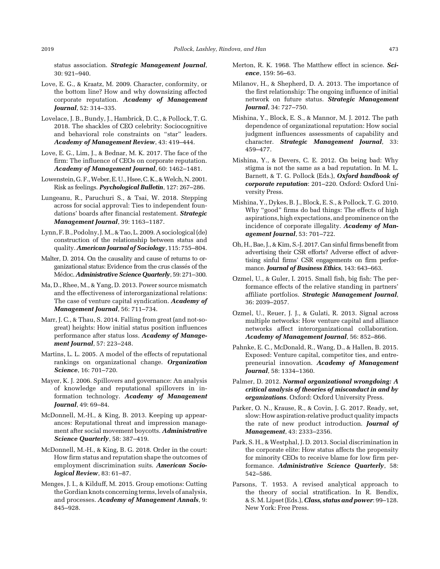status association. Strategic Management Journal, 30: 921–940.

- Love, E. G., & Kraatz, M. 2009. Character, conformity, or the bottom line? How and why downsizing affected corporate reputation. Academy of Management Journal, 52: 314–335.
- Lovelace, J. B., Bundy, J., Hambrick, D. C., & Pollock, T. G. 2018. The shackles of CEO celebrity: Sociocognitive and behavioral role constraints on "star" leaders. Academy of Management Review, 43: 419–444.
- Love, E. G., Lim, J., & Bednar, M. K. 2017. The face of the firm: The influence of CEOs on corporate reputation. Academy of Management Journal, 60: 1462–1481.
- Lowenstein, G. F., Weber, E. U., Hsee, C. K., & Welch, N. 2001. Risk as feelings. Psychological Bulletin, 127: 267–286.
- Lungeanu, R., Paruchuri S., & Tsai, W. 2018. Stepping across for social approval: Ties to independent foundations' boards after financial restatement. Strategic Management Journal, 39: 1163–1187.
- Lynn, F.B., Podolny, J.M., & Tao, L. 2009. A sociological (de) construction of the relationship between status and quality. American Journal of Sociology, 115: 755-804.
- Malter, D. 2014. On the causality and cause of returns to organizational status: Evidence from the crus classés of the Médoc. Administrative Science Quarterly, 59: 271–300.
- Ma, D., Rhee, M., & Yang, D. 2013. Power source mismatch and the effectiveness of interorganizational relations: The case of venture capital syndication. Academy of Management Journal, 56: 711–734.
- Marr, J. C., & Thau, S. 2014. Falling from great (and not-sogreat) heights: How initial status position influences performance after status loss. Academy of Management Journal, 57: 223–248.
- Martins, L. L. 2005. A model of the effects of reputational rankings on organizational change. Organization Science, 16: 701–720.
- Mayer, K. J. 2006. Spillovers and governance: An analysis of knowledge and reputational spillovers in information technology. Academy of Management Journal, 49: 69–84.
- McDonnell, M.-H., & King, B. 2013. Keeping up appearances: Reputational threat and impression management after social movement boycotts. Administrative Science Quarterly, 58: 387-419.
- McDonnell, M.-H., & King, B. G. 2018. Order in the court: How firm status and reputation shape the outcomes of employment discrimination suits. American Sociological Review, 83: 61–87.
- Menges, J. I., & Kilduff, M. 2015. Group emotions: Cutting the Gordian knots concerning terms, levels of analysis, and processes. Academy of Management Annals, 9: 845–928.
- Merton, R. K. 1968. The Matthew effect in science. Science, 159: 56–63.
- Milanov, H., & Shepherd, D. A. 2013. The importance of the first relationship: The ongoing influence of initial network on future status. Strategic Management Journal, 34: 727–750.
- Mishina, Y., Block, E. S., & Mannor, M. J. 2012. The path dependence of organizational reputation: How social judgment influences assessments of capability and character. Strategic Management Journal, 33: 459–477.
- Mishina, Y., & Devers, C. E. 2012. On being bad: Why stigma is not the same as a bad reputation. In M. L. Barnett, & T. G. Pollock (Eds.), Oxford handbook of corporate reputation: 201–220. Oxford: Oxford University Press.
- Mishina, Y., Dykes, B. J., Block, E. S., & Pollock, T. G. 2010. Why "good" firms do bad things: The effects of high aspirations, high expectations, and prominence on the incidence of corporate illegality. Academy of Management Journal, 53: 701–722.
- Oh, H., Bae, J., & Kim, S.-J. 2017. Can sinful firms benefit from advertising their CSR efforts? Adverse effect of advertising sinful firms' CSR engagements on firm performance. Journal of Business Ethics, 143: 643–663.
- Ozmel, U., & Guler, I. 2015. Small fish, big fish: The performance effects of the relative standing in partners' affiliate portfolios. Strategic Management Journal, 36: 2039–2057.
- Ozmel, U., Reuer, J. J., & Gulati, R. 2013. Signal across multiple networks: How venture capital and alliance networks affect interorganizational collaboration. Academy of Management Journal, 56: 852–866.
- Pahnke, E. C., McDonald, R., Wang, D., & Hallen, B. 2015. Exposed: Venture capital, competitor ties, and entrepreneurial innovation. Academy of Management Journal, 58: 1334–1360.
- Palmer, D. 2012. Normal organizational wrongdoing: A critical analysis of theories of misconduct in and by organizations. Oxford: Oxford University Press.
- Parker, O. N., Krause, R., & Covin, J. G. 2017. Ready, set, slow: How aspiration-relative product quality impacts the rate of new product introduction. Journal of Management, 43: 2333–2356.
- Park, S. H., & Westphal, J. D. 2013. Social discrimination in the corporate elite: How status affects the propensity for minority CEOs to receive blame for low firm performance. Administrative Science Quarterly, 58: 542–586.
- Parsons, T. 1953. A revised analytical approach to the theory of social stratification. In R. Bendix, & S.M. Lipset (Eds.), Class, status and power: 99-128. New York: Free Press.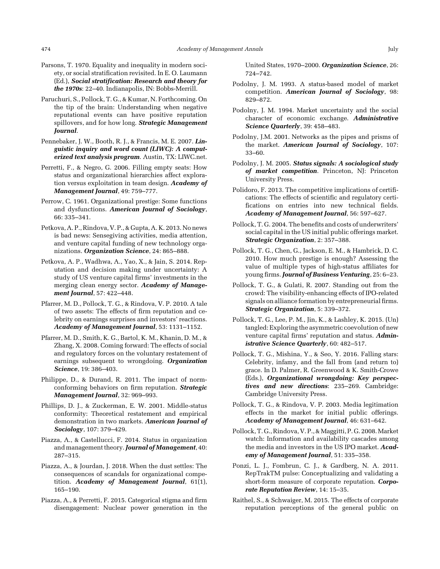- Parsons, T. 1970. Equality and inequality in modern society, or social stratification revisited. In E. O. Laumann (Ed.), Social stratification: Research and theory for the 1970s: 22–40. Indianapolis, IN: Bobbs-Merrill.
- Paruchuri, S., Pollock, T. G., & Kumar, N. Forthcoming. On the tip of the brain: Understanding when negative reputational events can have positive reputation spillovers, and for how long. Strategic Management Journal.
- Pennebaker, J. W., Booth, R. J., & Francis, M. E. 2007. Linguistic inquiry and word count (LIWC): A computerized text analysis program. Austin, TX: LIWC.net.
- Perretti, F., & Negro, G. 2006. Filling empty seats: How status and organizational hierarchies affect exploration versus exploitation in team design. Academy of Management Journal, 49: 759–777.
- Perrow, C. 1961. Organizational prestige: Some functions and dysfunctions. American Journal of Sociology, 66: 335–341.
- Petkova, A. P., Rindova, V. P., & Gupta, A. K. 2013. No news is bad news: Sensegiving activities, media attention, and venture capital funding of new technology organizations. Organization Science, 24: 865–888.
- Petkova, A. P., Wadhwa, A., Yao, X., & Jain, S. 2014. Reputation and decision making under uncertainty: A study of US venture capital firms' investments in the merging clean energy sector. Academy of Management Journal, 57: 422–448.
- Pfarrer, M. D., Pollock, T. G., & Rindova, V. P. 2010. A tale of two assets: The effects of firm reputation and celebrity on earnings surprises and investors' reactions. Academy of Management Journal, 53: 1131–1152.
- Pfarrer, M. D., Smith, K. G., Bartol, K. M., Khanin, D. M., & Zhang, X. 2008. Coming forward: The effects of social and regulatory forces on the voluntary restatement of earnings subsequent to wrongdoing. Organization Science, 19: 386–403.
- Philippe, D., & Durand, R. 2011. The impact of normconforming behaviors on firm reputation. Strategic Management Journal, 32: 969–993.
- Phillips, D. J., & Zuckerman, E. W. 2001. Middle-status conformity: Theoretical restatement and empirical demonstration in two markets. American Journal of Sociology, 107: 379–429.
- Piazza, A., & Castellucci, F. 2014. Status in organization and management theory. Journal of Management, 40: 287–315.
- Piazza, A., & Jourdan, J. 2018. When the dust settles: The consequences of scandals for organizational competition. Academy of Management Journal, 61(1), 165–190.
- Piazza, A., & Perretti, F. 2015. Categorical stigma and firm disengagement: Nuclear power generation in the

United States, 1970–2000. Organization Science, 26: 724–742.

- Podolny, J. M. 1993. A status-based model of market competition. American Journal of Sociology, 98: 829–872.
- Podolny, J. M. 1994. Market uncertainty and the social character of economic exchange. Administrative Science Quarterly, 39: 458-483.
- Podolny, J.M. 2001. Networks as the pipes and prisms of the market. American Journal of Sociology, 107: 33–60.
- Podolny, J. M. 2005. Status signals: A sociological study of market competition. Princeton, NJ: Princeton University Press.
- Polidoro, F. 2013. The competitive implications of certifications: The effects of scientific and regulatory certifications on entries into new technical fields. Academy of Management Journal, 56: 597–627.
- Pollock, T. G. 2004. The benefits and costs of underwriters' social capital in the US initial public offerings market. Strategic Organization, 2: 357–388.
- Pollock, T. G., Chen, G., Jackson, E. M., & Hambrick, D. C. 2010. How much prestige is enough? Assessing the value of multiple types of high-status affiliates for young firms. **Journal of Business Venturing**, 25: 6-23.
- Pollock, T. G., & Gulati, R. 2007. Standing out from the crowd: The visibility-enhancing effects of IPO-related signals on alliance formation by entrepreneurial firms. Strategic Organization, 5: 339–372.
- Pollock, T. G., Lee, P. M., Jin, K., & Lashley, K. 2015. (Un) tangled: Exploring the asymmetric coevolution of new venture capital firms' reputation and status. Administrative Science Quarterly, 60: 482–517.
- Pollock, T. G., Mishina, Y., & Seo, Y. 2016. Falling stars: Celebrity, infamy, and the fall from (and return to) grace. In D. Palmer, R. Greenwood & K. Smith-Crowe (Eds.), Organizational wrongdoing: Key perspectives and new directions: 235–269. Cambridge: Cambridge University Press.
- Pollock, T. G., & Rindova, V. P. 2003. Media legitimation effects in the market for initial public offerings. Academy of Management Journal, 46: 631–642.
- Pollock, T. G., Rindova, V. P., & Maggitti, P. G. 2008.Market watch: Information and availability cascades among the media and investors in the US IPO market. Academy of Management Journal, 51: 335–358.
- Ponzi, L. J., Fombrun, C. J., & Gardberg, N. A. 2011. RepTrakTM pulse: Conceptualizing and validating a short-form measure of corporate reputation. Corporate Reputation Review, 14: 15–35.
- Raithel, S., & Schwaiger, M. 2015. The effects of corporate reputation perceptions of the general public on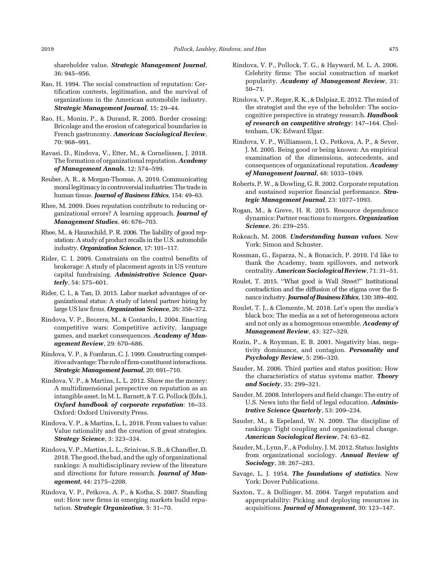shareholder value. Strategic Management Journal, 36: 945–956.

- Rao, H. 1994. The social construction of reputation: Certification contests, legitimation, and the survival of organizations in the American automobile industry. Strategic Management Journal, 15: 29–44.
- Rao, H., Monin, P., & Durand, R. 2005. Border crossing: Bricolage and the erosion of categorical boundaries in French gastronomy. American Sociological Review, 70: 968–991.
- Ravasi, D., Rindova, V., Etter, M., & Cornelissen, J. 2018. The formation of organizational reputation. Academy of Management Annals, 12: 574–599.
- Reuber, A. R., & Morgan-Thomas, A. 2019. Communicating moral legitimacy in controversial industries:The trade in human tissue. **Journal of Business Ethics**, 154: 49-63.
- Rhee, M. 2009. Does reputation contribute to reducing organizational errors? A learning approach. **Journal of** Management Studies, 46: 676-703.
- Rhee, M., & Haunschild, P. R. 2006. The liability of good reputation: A study of product recalls in the U.S. automobile industry. Organization Science, 17: 101-117.
- Rider, C. I. 2009. Constraints on the control benefits of brokerage: A study of placement agents in US venture capital fundraising. Administrative Science Quarterly, 54: 575–601.
- Rider, C. I., & Tan, D. 2015. Labor market advantages of organizational status: A study of lateral partner hiring by large US law firms. Organization Science, 26: 356-372.
- Rindova, V. P., Becerra, M., & Contardo, I. 2004. Enacting competitive wars: Competitive activity, language games, and market consequences. Academy of Management Review, 29: 670–686.
- Rindova, V. P., & Fombrun, C. J. 1999. Constructing competitive advantage:The role of firm-constituent interactions. Strategic Management Journal, 20: 691–710.
- Rindova, V. P., & Martins, L. L. 2012. Show me the money: A multidimensional perspective on reputation as an intangible asset. In M. L. Barnett, & T. G. Pollock (Eds.), Oxford handbook of corporate reputation: 16–33. Oxford: Oxford University Press.
- Rindova, V. P., & Martins, L. L. 2018. From values to value: Value rationality and the creation of great strategies. Strategy Science, 3: 323–334.
- Rindova, V. P., Martins, L. L., Srinivas, S. B., & Chandler, D. 2018. The good, the bad, and the ugly of organizational rankings: A multidisciplinary review of the literature and directions for future research. Journal of Management, 44: 2175–2208.
- Rindova, V. P., Petkova, A. P., & Kotha, S. 2007. Standing out: How new firms in emerging markets build reputation. Strategic Organization, 5: 31-70.
- Rindova, V. P., Pollock, T. G., & Hayward, M. L. A. 2006. Celebrity firms: The social construction of market popularity. Academy of Management Review, 31: 50–71.
- Rindova, V. P., Reger, R. K., & Dalpiaz, E. 2012. The mind of the strategist and the eye of the beholder: The sociocognitive perspective in strategy research. Handbook of research on competitive strategy: 147–164. Cheltenham, UK: Edward Elgar.
- Rindova, V. P., Williamson, I. O., Petkova, A. P., & Sever, J. M. 2005. Being good or being known: An empirical examination of the dimensions, antecedents, and consequences of organizational reputation. Academy of Management Journal, 48: 1033–1049.
- Roberts, P. W., & Dowling, G. R. 2002. Corporate reputation and sustained superior financial performance. Strategic Management Journal, 23: 1077–1093.
- Rogan, M., & Greve, H. R. 2015. Resource dependence dynamics: Partner reactions to mergers. Organization Science, 26: 239–255.
- Rokeach, M. 2008. Understanding human values. New York: Simon and Schuster.
- Rossman, G., Esparza, N., & Bonacich, P. 2010. I'd like to thank the Academy, team spillovers, and network centrality. American Sociological Review, 71: 31–51.
- Roulet, T. 2015. "What good is Wall Street?" Institutional contradiction and the diffusion of the stigma over the finance industry. Journal of Business Ethics, 130: 389-402.
- Roulet, T. J., & Clemente, M. 2018. Let's open the media's black box: The media as a set of heterogeneous actors and not only as a homogenous ensemble. Academy of Management Review, 43: 327–329.
- Rozin, P., & Royzman, E. B. 2001. Negativity bias, negativity dominance, and contagion. Personality and Psychology Review, 5: 296–320.
- Sauder, M. 2006. Third parties and status position: How the characteristics of status systems matter. Theory and Society, 35: 299–321.
- Sauder, M. 2008. Interlopers and field change: The entry of U.S. News into the field of legal education. Administrative Science Quarterly, 53: 209–234.
- Sauder, M., & Espeland, W. N. 2009. The discipline of rankings: Tight coupling and organizational change. American Sociological Review, 74: 63–82.
- Sauder, M., Lynn, F., & Podolny, J. M. 2012. Status: Insights from organizational sociology. Annual Review of Sociology, 38: 267–283.
- Savage, L. J. 1954. The foundations of statistics. New York: Dover Publications.
- Saxton, T., & Dollinger, M. 2004. Target reputation and appropriability: Picking and deploying resources in acquisitions. Journal of Management, 30: 123–147.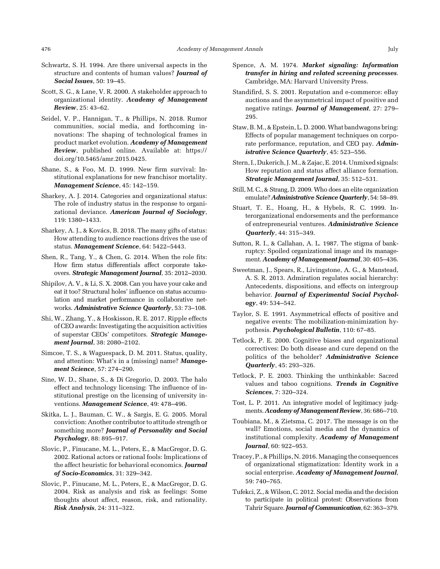- Schwartz, S. H. 1994. Are there universal aspects in the structure and contents of human values? Journal of Social Issues, 50: 19–45.
- Scott, S. G., & Lane, V. R. 2000. A stakeholder approach to organizational identity. Academy of Management Review, 25: 43–62.
- Seidel, V. P., Hannigan, T., & Phillips, N. 2018. Rumor communities, social media, and forthcoming innovations: The shaping of technological frames in product market evolution. Academy of Management Review, published online. Available at: https:// doi.org/10.5465/amr.2015.0425.
- Shane, S., & Foo, M. D. 1999. New firm survival: Institutional explanations for new franchisor mortality. Management Science, 45: 142–159.
- Sharkey, A. J. 2014. Categories and organizational status: The role of industry status in the response to organizational deviance. American Journal of Sociology, 119: 1380–1433.
- Sharkey, A. J., & Kovács, B. 2018. The many gifts of status: How attending to audience reactions drives the use of status. Management Science, 64: 5422-5443.
- Shen, R., Tang, Y., & Chen, G. 2014. When the role fits: How firm status differentials affect corporate takeovers. Strategic Management Journal, 35: 2012–2030.
- Shipilov, A. V., & Li, S. X. 2008. Can you have your cake and eat it too? Structural holes' influence on status accumulation and market performance in collaborative networks. Administrative Science Quarterly, 53: 73–108.
- Shi, W., Zhang, Y., & Hoskisson, R. E. 2017. Ripple effects of CEO awards: Investigating the acquisition activities of superstar CEOs' competitors. Strategic Management Journal, 38: 2080–2102.
- Simcoe, T. S., & Waguespack, D. M. 2011. Status, quality, and attention: What's in a (missing) name? Management Science, 57: 274–290.
- Sine, W. D., Shane, S., & Di Gregorio, D. 2003. The halo effect and technology licensing: The influence of institutional prestige on the licensing of university inventions. Management Science, 49: 478-496.
- Skitka, L. J., Bauman, C. W., & Sargis, E. G. 2005. Moral conviction: Another contributor to attitude strength or something more? Journal of Personality and Social Psychology, 88: 895–917.
- Slovic, P., Finucane, M. L., Peters, E., & MacGregor, D. G. 2002. Rational actors or rational fools: Implications of the affect heuristic for behavioral economics. Journal of Socio-Economics, 31: 329–342.
- Slovic, P., Finucane, M. L., Peters, E., & MacGregor, D. G. 2004. Risk as analysis and risk as feelings: Some thoughts about affect, reason, risk, and rationality. Risk Analysis, 24: 311–322.
- Spence, A. M. 1974. Market signaling: Information transfer in hiring and related screening processes. Cambridge, MA: Harvard University Press.
- Standifird, S. S. 2001. Reputation and e-commerce: eBay auctions and the asymmetrical impact of positive and negative ratings. Journal of Management, 27: 279– 295.
- Staw, B. M., & Epstein, L. D. 2000.What bandwagons bring: Effects of popular management techniques on corporate performance, reputation, and CEO pay. Administrative Science Quarterly, 45: 523–556.
- Stern, I., Dukerich, J.M., & Zajac, E. 2014. Unmixed signals: How reputation and status affect alliance formation. Strategic Management Journal, 35: 512–531.
- Still, M. C., & Strang, D. 2009. Who does an elite organization emulate? Administrative Science Quarterly, 54: 58-89.
- Stuart, T. E., Hoang, H., & Hybels, R. C. 1999. Interorganizational endorsements and the performance of entrepreneurial ventures. Administrative Science Quarterly, 44: 315–349.
- Sutton, R. I., & Callahan, A. L. 1987. The stigma of bankruptcy: Spoiled organizational image and its management. Academy of Management Journal, 30: 405-436.
- Sweetman, J., Spears, R., Livingstone, A. G., & Manstead, A. S. R. 2013. Admiration regulates social hierarchy: Antecedents, dispositions, and effects on intergroup behavior. Journal of Experimental Social Psychology, 49: 534–542.
- Taylor, S. E. 1991. Asymmetrical effects of positive and negative events: The mobilization-minimization hypothesis. Psychological Bulletin, 110: 67–85.
- Tetlock, P. E. 2000. Cognitive biases and organizational correctives: Do both disease and cure depend on the politics of the beholder? Administrative Science Quarterly, 45: 293–326.
- Tetlock, P. E. 2003. Thinking the unthinkable: Sacred values and taboo cognitions. Trends in Cognitive Sciences, 7: 320–324.
- Tost, L. P. 2011. An integrative model of legitimacy judgments. Academy of Management Review, 36: 686-710.
- Toubiana, M., & Zietsma, C. 2017. The message is on the wall? Emotions, social media and the dynamics of institutional complexity. Academy of Management Journal, 60: 922–953.
- Tracey, P., & Phillips, N. 2016. Managing the consequences of organizational stigmatization: Identity work in a social enterprise. Academy of Management Journal, 59: 740–765.
- Tufekci, Z., & Wilson, C. 2012. Social media and the decision to participate in political protest: Observations from Tahrir Square. Journal of Communication, 62: 363-379.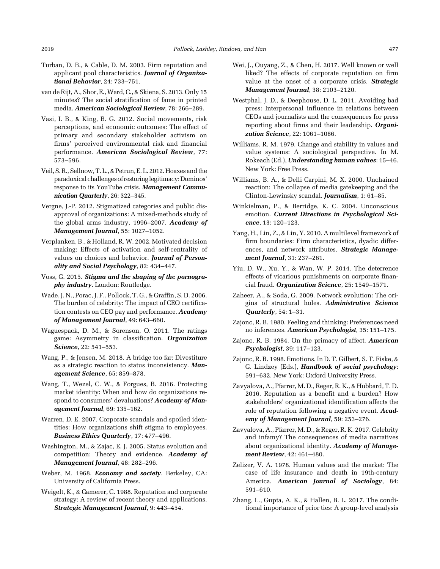- Turban, D. B., & Cable, D. M. 2003. Firm reputation and applicant pool characteristics. Journal of Organizational Behavior, 24: 733–751.
- van de Rijt, A., Shor, E.,Ward, C., & Skiena, S. 2013. Only 15 minutes? The social stratification of fame in printed media. American Sociological Review, 78: 266–289.
- Vasi, I. B., & King, B. G. 2012. Social movements, risk perceptions, and economic outcomes: The effect of primary and secondary stakeholder activism on firms' perceived environmental risk and financial performance. American Sociological Review, 77: 573–596.
- Veil, S. R., Sellnow, T. L., & Petrun, E. L. 2012. Hoaxes and the paradoxical challenges of restoring legitimacy: Dominos' response to its YouTube crisis. Management Communication Quarterly, 26: 322–345.
- Vergne, J.-P. 2012. Stigmatized categories and public disapproval of organizations: A mixed-methods study of the global arms industry, 1996–2007. Academy of Management Journal, 55: 1027–1052.
- Verplanken, B., & Holland, R. W. 2002. Motivated decision making: Effects of activation and self-centrality of values on choices and behavior. Journal of Personality and Social Psychology, 82: 434–447.
- Voss, G. 2015. Stigma and the shaping of the pornography industry. London: Routledge.
- Wade, J. N., Porac, J. F., Pollock, T. G., & Graffin, S. D. 2006. The burden of celebrity: The impact of CEO certification contests on CEO pay and performance. Academy of Management Journal, 49: 643–660.
- Waguespack, D. M., & Sorenson, O. 2011. The ratings game: Asymmetry in classification. Organization Science, 22: 541–553.
- Wang, P., & Jensen, M. 2018. A bridge too far: Divestiture as a strategic reaction to status inconsistency. Management Science, 65: 859–878.
- Wang, T., Wezel, C. W., & Forgues, B. 2016. Protecting market identity: When and how do organizations respond to consumers' devaluations? Academy of Management Journal, 69: 135–162.
- Warren, D. E. 2007. Corporate scandals and spoiled identities: How organizations shift stigma to employees. Business Ethics Quarterly, 17: 477–496.
- Washington, M., & Zajac, E. J. 2005. Status evolution and competition: Theory and evidence. Academy of Management Journal, 48: 282–296.
- Weber, M. 1968. Economy and society. Berkeley, CA: University of California Press.
- Weigelt, K., & Camerer, C. 1988. Reputation and corporate strategy: A review of recent theory and applications. Strategic Management Journal, 9: 443–454.
- Wei, J., Ouyang, Z., & Chen, H. 2017. Well known or well liked? The effects of corporate reputation on firm value at the onset of a corporate crisis. **Strategic** Management Journal, 38: 2103–2120.
- Westphal, J. D., & Deephouse, D. L. 2011. Avoiding bad press: Interpersonal influence in relations between CEOs and journalists and the consequences for press reporting about firms and their leadership. Organization Science, 22: 1061-1086.
- Williams, R. M. 1979. Change and stability in values and value systems: A sociological perspective. In M. Rokeach (Ed.), Understanding human values: 15–46. New York: Free Press.
- Williams, B. A., & Delli Carpini, M. X. 2000. Unchained reaction: The collapse of media gatekeeping and the Clinton-Lewinsky scandal. Journalism, 1: 61–85.
- Winkielman, P., & Berridge, K. C. 2004. Unconscious emotion. Current Directions in Psychological Science, 13: 120–123.
- Yang, H., Lin, Z., & Lin, Y. 2010. A multilevel framework of firm boundaries: Firm characteristics, dyadic differences, and network attributes. Strategic Management Journal, 31: 237–261.
- Yiu, D. W., Xu, Y., & Wan, W. P. 2014. The deterrence effects of vicarious punishments on corporate financial fraud. Organization Science, 25: 1549–1571.
- Zaheer, A., & Soda, G. 2009. Network evolution: The origins of structural holes. Administrative Science Quarterly, 54: 1–31.
- Zajonc, R. B. 1980. Feeling and thinking: Preferences need no inferences. American Psychologist, 35: 151–175.
- Zajonc, R. B. 1984. On the primacy of affect. American Psychologist, 39: 117–123.
- Zajonc, R. B. 1998. Emotions. In D. T. Gilbert, S. T. Fiske, & G. Lindzey (Eds.), Handbook of social psychology: 591–632. New York: Oxford University Press.
- Zavyalova, A., Pfarrer, M. D., Reger, R. K., & Hubbard, T. D. 2016. Reputation as a benefit and a burden? How stakeholders' organizational identification affects the role of reputation following a negative event. Academy of Management Journal, 59: 253–276.
- Zavyalova, A., Pfarrer, M. D., & Reger, R. K. 2017. Celebrity and infamy? The consequences of media narratives about organizational identity. Academy of Management Review, 42: 461–480.
- Zelizer, V. A. 1978. Human values and the market: The case of life insurance and death in 19th-century America. American Journal of Sociology, 84: 591–610.
- Zhang, L., Gupta, A. K., & Hallen, B. L. 2017. The conditional importance of prior ties: A group-level analysis